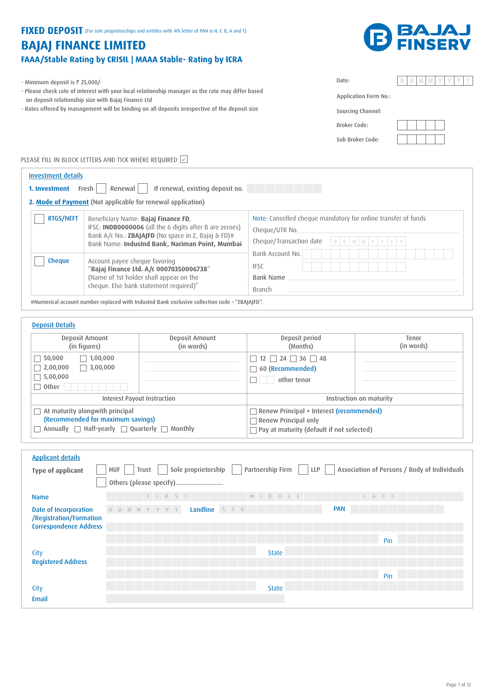# FIXED DEPOSIT (For sole proprietorships and entitles with 4th letter of PAN is H, F, B, A and T)

# **BAJAJ FINANCE LIMITED** FAAA/Stable Rating by CRISIL | MAAA Stable- Rating by ICRA



- Minimum deposit is  $\overline{\mathfrak{r}}$  25,000/-

- Please check rate of interest with your local relationship manager as the rate may differ based on deposit relationship size with Bajaj Finance Ltd

- Rates offered by management will be binding on all deposits irrespective of the deposit size

| <b>Application Form No.:</b> |
|------------------------------|
|------------------------------|

Sourcing Channel: Broker Code:

Date:

Sub Broker Code:

PLEASE FILL IN BLOCK LETTERS AND TICK WHERE REQUIRED  $\boxdot$ 

| <b>Investment details</b><br>1. Investment | If renewal, existing deposit no.<br>Fresh  <br>Renewal                                                                                                                                                   |                                                                                                            |
|--------------------------------------------|----------------------------------------------------------------------------------------------------------------------------------------------------------------------------------------------------------|------------------------------------------------------------------------------------------------------------|
|                                            | 2. Mode of Payment (Not applicable for renewal application)                                                                                                                                              |                                                                                                            |
| <b>RTGS/NEFT</b>                           | Beneficiary Name: Bajaj Finance FD,<br>IFSC: INDB0000006 (all the 6 digits after B are zeroes)<br>Bank A/c No.: ZBAJAJFD (No space in Z, Bajaj & FD)#<br>Bank Name: IndusInd Bank, Nariman Point, Mumbai | Note: Cancelled cheque mandatory for online transfer of funds<br>Cheque/UTR No.<br>Cheque/Transaction date |
| <b>Cheque</b>                              | Account payee cheque favoring<br>"Bajaj Finance Ltd. A/c 00070350006738"<br>(Name of 1st holder shall appear on the<br>cheque. Else bank statement required)*                                            | Bank Account No.<br><b>IFSC</b><br><b>Bank Name</b><br>Branch                                              |

#Numerical account number replaced with IndusInd Bank exclusive collection code – "ZBAJAJFD".

| <b>Deposit Details</b><br>Deposit Amount                    | Deposit Amount | Deposit period                                   | Tenor      |
|-------------------------------------------------------------|----------------|--------------------------------------------------|------------|
| (in figures)                                                | (in words)     | (Months)                                         | (in words) |
| $\Box$ 1,00,000<br>$\Box$ 50,000                            |                | $12 \mid 24 \mid 36 \mid 48$                     |            |
| $\Box$ 3,00,000<br>$\Box$ 2,00,000                          |                | 60 (Recommended)<br>$\Box$                       |            |
| $\Box$ 5,00,000                                             |                | other tenor                                      |            |
| $\Box$ Other                                                |                |                                                  |            |
| Interest Payout Instruction                                 |                | Instruction on maturity                          |            |
| $\Box$ At maturity alongwith principal                      |                | $\Box$ Renew Principal + Interest (recommended)  |            |
| (Recommended for maximum savings)                           |                | $\Box$ Renew Principal only                      |            |
| Annually $\Box$ Half-yearly $\Box$ Quarterly $\Box$ Monthly |                | $\Box$ Pay at maturity (default if not selected) |            |

| <b>Applicant details</b>                                 |                                           |                                                                           |
|----------------------------------------------------------|-------------------------------------------|---------------------------------------------------------------------------|
| Type of applicant                                        | Sole proprietorship    <br>HUF  <br>Trust | Partnership Firm     LLP     Association of Persons / Body of Individuals |
|                                                          | Others (please specify)                   |                                                                           |
| <b>Name</b>                                              | FIRST<br>M I D D L E                      | L A S T                                                                   |
| Date of Incorporation                                    | Landline STD<br>D D M M Y Y Y Y           | <b>PAN</b>                                                                |
| /Registration/Formation<br><b>Correspondence Address</b> |                                           |                                                                           |
|                                                          |                                           |                                                                           |
|                                                          |                                           | Pin                                                                       |
| City                                                     | <b>State</b>                              |                                                                           |
| <b>Registered Address</b>                                |                                           |                                                                           |
|                                                          |                                           | Pin                                                                       |
| City                                                     | <b>State</b>                              |                                                                           |
| Email                                                    |                                           |                                                                           |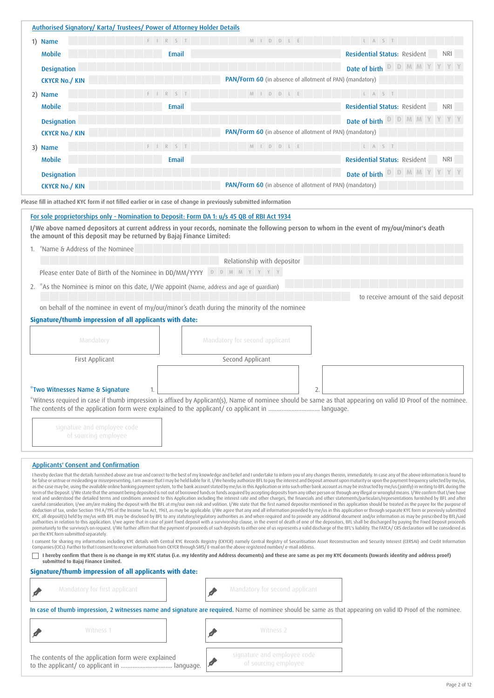|    | Authorised Signatory/ Karta/ Trustees/ Power of Attorney Holder Details                                         |                |                                                                                                                                                 |                                                                                                                                                                                                                                                                                                                                                                                                                                                                                                                                                                                                                                                                                                |
|----|-----------------------------------------------------------------------------------------------------------------|----------------|-------------------------------------------------------------------------------------------------------------------------------------------------|------------------------------------------------------------------------------------------------------------------------------------------------------------------------------------------------------------------------------------------------------------------------------------------------------------------------------------------------------------------------------------------------------------------------------------------------------------------------------------------------------------------------------------------------------------------------------------------------------------------------------------------------------------------------------------------------|
|    | 1) Name                                                                                                         | $F \mid R$ S T | M I D D L E                                                                                                                                     | L A S T                                                                                                                                                                                                                                                                                                                                                                                                                                                                                                                                                                                                                                                                                        |
|    | <b>Mobile</b>                                                                                                   | Email          |                                                                                                                                                 | <b>Residential Status: Resident</b><br><b>NRI</b>                                                                                                                                                                                                                                                                                                                                                                                                                                                                                                                                                                                                                                              |
|    | <b>Designation</b>                                                                                              |                |                                                                                                                                                 | D D M<br>Date of birth                                                                                                                                                                                                                                                                                                                                                                                                                                                                                                                                                                                                                                                                         |
|    | <b>CKYCR No./ KIN</b>                                                                                           |                | PAN/Form 60 (in absence of allotment of PAN) (mandatory)                                                                                        |                                                                                                                                                                                                                                                                                                                                                                                                                                                                                                                                                                                                                                                                                                |
|    | 2) Name                                                                                                         | F I R S T      | M I D D L E                                                                                                                                     | L A S T                                                                                                                                                                                                                                                                                                                                                                                                                                                                                                                                                                                                                                                                                        |
|    | <b>Mobile</b>                                                                                                   | Email          |                                                                                                                                                 | <b>Residential Status: Resident</b><br><b>NRI</b>                                                                                                                                                                                                                                                                                                                                                                                                                                                                                                                                                                                                                                              |
|    | <b>Designation</b>                                                                                              |                |                                                                                                                                                 | Date of birth<br>D D                                                                                                                                                                                                                                                                                                                                                                                                                                                                                                                                                                                                                                                                           |
|    | <b>CKYCR No./ KIN</b>                                                                                           |                | PAN/Form 60 (in absence of allotment of PAN) (mandatory)                                                                                        |                                                                                                                                                                                                                                                                                                                                                                                                                                                                                                                                                                                                                                                                                                |
|    | 3) Name                                                                                                         | $F I R S T$    | M I D D L E                                                                                                                                     | L A S T                                                                                                                                                                                                                                                                                                                                                                                                                                                                                                                                                                                                                                                                                        |
|    | <b>Mobile</b>                                                                                                   | Email          |                                                                                                                                                 | <b>Residential Status: Resident</b>                                                                                                                                                                                                                                                                                                                                                                                                                                                                                                                                                                                                                                                            |
|    | <b>Designation</b>                                                                                              |                |                                                                                                                                                 | Date of birth D D M M                                                                                                                                                                                                                                                                                                                                                                                                                                                                                                                                                                                                                                                                          |
|    | <b>CKYCR No./ KIN</b>                                                                                           |                | PAN/Form 60 (in absence of allotment of PAN) (mandatory)                                                                                        |                                                                                                                                                                                                                                                                                                                                                                                                                                                                                                                                                                                                                                                                                                |
|    |                                                                                                                 |                |                                                                                                                                                 |                                                                                                                                                                                                                                                                                                                                                                                                                                                                                                                                                                                                                                                                                                |
|    | Please fill in attached KYC form if not filled earlier or in case of change in previously submitted information |                |                                                                                                                                                 |                                                                                                                                                                                                                                                                                                                                                                                                                                                                                                                                                                                                                                                                                                |
| 1. | the amount of this deposit may be returned by Bajaj Finance Limited:<br>"Name & Address of the Nominee          |                |                                                                                                                                                 | I/We above named depositors at current address in your records, nominate the following person to whom in the event of my/our/minor's death                                                                                                                                                                                                                                                                                                                                                                                                                                                                                                                                                     |
|    |                                                                                                                 |                | Relationship with depositor                                                                                                                     |                                                                                                                                                                                                                                                                                                                                                                                                                                                                                                                                                                                                                                                                                                |
|    | Please enter Date of Birth of the Nominee in DD/MM/YYYY                                                         |                | D D M M Y Y Y Y                                                                                                                                 |                                                                                                                                                                                                                                                                                                                                                                                                                                                                                                                                                                                                                                                                                                |
|    | 2. *As the Nominee is minor on this date, I/We appoint (Name, address and age of guardian)                      |                |                                                                                                                                                 |                                                                                                                                                                                                                                                                                                                                                                                                                                                                                                                                                                                                                                                                                                |
|    |                                                                                                                 |                |                                                                                                                                                 | to receive amount of the said deposit                                                                                                                                                                                                                                                                                                                                                                                                                                                                                                                                                                                                                                                          |
|    | on behalf of the nominee in event of my/our/minor's death during the minority of the nominee                    |                |                                                                                                                                                 |                                                                                                                                                                                                                                                                                                                                                                                                                                                                                                                                                                                                                                                                                                |
|    | Signature/thumb impression of all applicants with date:                                                         |                |                                                                                                                                                 |                                                                                                                                                                                                                                                                                                                                                                                                                                                                                                                                                                                                                                                                                                |
|    | Mandatory                                                                                                       |                | Mandatory for second applicant                                                                                                                  |                                                                                                                                                                                                                                                                                                                                                                                                                                                                                                                                                                                                                                                                                                |
|    | First Applicant                                                                                                 |                | Second Applicant                                                                                                                                |                                                                                                                                                                                                                                                                                                                                                                                                                                                                                                                                                                                                                                                                                                |
|    |                                                                                                                 |                |                                                                                                                                                 |                                                                                                                                                                                                                                                                                                                                                                                                                                                                                                                                                                                                                                                                                                |
|    |                                                                                                                 |                |                                                                                                                                                 |                                                                                                                                                                                                                                                                                                                                                                                                                                                                                                                                                                                                                                                                                                |
|    | "Two Witnesses Name & Signature                                                                                 | 1.             |                                                                                                                                                 | $\overline{2}$<br>"Witness required in case if thumb impression is affixed by Applicant(s), Name of nominee should be same as that appearing on valid ID Proof of the nominee.                                                                                                                                                                                                                                                                                                                                                                                                                                                                                                                 |
|    |                                                                                                                 |                |                                                                                                                                                 |                                                                                                                                                                                                                                                                                                                                                                                                                                                                                                                                                                                                                                                                                                |
|    |                                                                                                                 |                |                                                                                                                                                 |                                                                                                                                                                                                                                                                                                                                                                                                                                                                                                                                                                                                                                                                                                |
|    | signature and employee code<br>of sourcing employee                                                             |                |                                                                                                                                                 |                                                                                                                                                                                                                                                                                                                                                                                                                                                                                                                                                                                                                                                                                                |
|    |                                                                                                                 |                |                                                                                                                                                 |                                                                                                                                                                                                                                                                                                                                                                                                                                                                                                                                                                                                                                                                                                |
|    |                                                                                                                 |                |                                                                                                                                                 |                                                                                                                                                                                                                                                                                                                                                                                                                                                                                                                                                                                                                                                                                                |
|    | <b>Applicants' Consent and Confirmation</b>                                                                     |                |                                                                                                                                                 |                                                                                                                                                                                                                                                                                                                                                                                                                                                                                                                                                                                                                                                                                                |
|    |                                                                                                                 |                |                                                                                                                                                 | I hereby declare that the details furnished above are true and correct to the best of my knowledge and belief and I undertake to inform you of any changes therein, immediately. In case any of the above information is found<br>be false or untrue or misleading or misrepresenting, I am aware that I may be held liable for it. I/We hereby authorize BFL to pay the interest and Deposit amount upon maturity or upon the payment frequency selected by me/                                                                                                                                                                                                                               |
|    |                                                                                                                 |                |                                                                                                                                                 | as the case may be, using the available online banking payment system, to the bank account stated by me/us in this Application or into such other bank account as may be instructed by me/us (jointly) in writing to BFL durin<br>term of the Deposit. I/We state that the amount being deposited is not out of borrowed funds or funds acquired by accepting deposits from any other person or through any illegal or wrongful means. I/We confirm that I/we ha                                                                                                                                                                                                                               |
|    |                                                                                                                 |                |                                                                                                                                                 | read and understood the detailed terms and conditions annexed to this Application including the interest rate and other charges, the financials and other statements/particulars/representations furnished by BFL and after<br>careful consideration, I/we am/are making the deposit with the BFL at my/our own risk and volition. I/We state that the first named depositor mentioned in this application should be treated as the payee for the purpose of<br>deduction of tax, under Section 194 A/195 of the Income Tax Act, 1961, as may be applicable. I/We agree that any and all information provided by me/us in this application or through separate KYC form or previosly submitted |
|    |                                                                                                                 |                |                                                                                                                                                 | KYC, all deposit(s) held by me/us with BFL may be disclosed by BFL to any statutory/regulatory authorities as and when required and to provide any additional document and/or information as may be prescribed by BFL/said<br>authorities in relation to this application. I/we agree that in case of joint fixed deposit with a survivorship clause, in the event of death of one of the depositors, BFL shall be discharged by paying the Fixed Deposit pr                                                                                                                                                                                                                                   |
|    | per the KYC form submitted separately.                                                                          |                |                                                                                                                                                 | prematurely to the survivor/s on request. I/We further affirm that the payment of proceeds of such deposits to either one of us represents a valid discharge of the BFL's liability. The FATCA/CRS declaration will be conside                                                                                                                                                                                                                                                                                                                                                                                                                                                                 |
|    |                                                                                                                 |                | Companies (CICs). Further to that I consent to receive information from CKYCR through SMS/E-mail on the above registered number/e-mail address. | I consent for sharing my information including KYC details with Central KYC Records Registry (CKYCR) namely Central Registry of Securitisation Asset Reconstruction and Security Interest (CERSAI) and Credit Information                                                                                                                                                                                                                                                                                                                                                                                                                                                                      |
|    |                                                                                                                 |                |                                                                                                                                                 | I hereby confirm that there is no change in my KYC status (i.e. my Identity and Address documents) and these are same as per my KYC documents (towards identity and address proof)                                                                                                                                                                                                                                                                                                                                                                                                                                                                                                             |
|    | submitted to Bajaj Finance Limited.                                                                             |                |                                                                                                                                                 |                                                                                                                                                                                                                                                                                                                                                                                                                                                                                                                                                                                                                                                                                                |
|    |                                                                                                                 |                |                                                                                                                                                 |                                                                                                                                                                                                                                                                                                                                                                                                                                                                                                                                                                                                                                                                                                |
|    | Signature/thumb impression of all applicants with date:                                                         |                |                                                                                                                                                 |                                                                                                                                                                                                                                                                                                                                                                                                                                                                                                                                                                                                                                                                                                |
|    | Mandatory for first applicant                                                                                   |                | Mandatory for second applicant                                                                                                                  |                                                                                                                                                                                                                                                                                                                                                                                                                                                                                                                                                                                                                                                                                                |

 $\boldsymbol{z}$ 

Witness 1 Witness 2

signature and employee code of sourcing employee

The contents of the application form were explained to the applicant/ co applicant in ............................... language.

À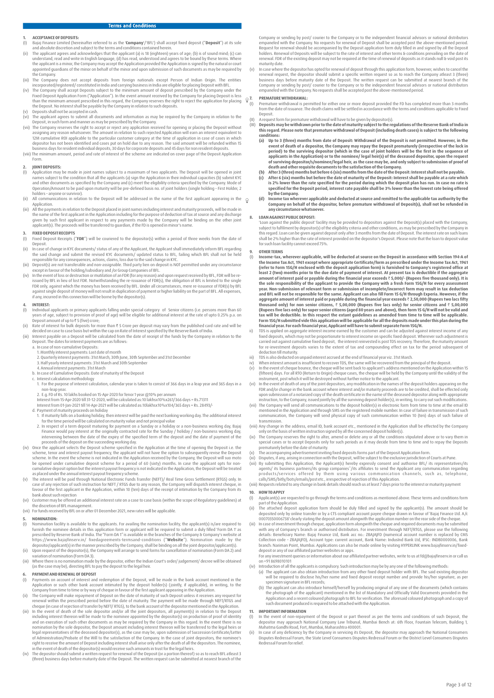# **1. ACCEPTANCE OF DEPOSITS:**<br>(1) Bajai Finance Limited (here

- (I) Bajaj Finance Limited (hereinafter referred to as the '**Company**'/'BFL') shall accept fixed deposit ("**Deposit**") at its sole
- and absolute discretion and subject to the terms and conditions contained herein.<br>(ii) The applicant agrees and acknowledges that the applicant (a) is 18 (eighteen) years of age; (b) is of sound mind; (c) can<br>understand, r the applicant is a minor, the Company may accept the Application provided the Application is signed by the natural or court<br>appointed guardians of the minor on behalf of the minor and upon submission of such documents as m the Company.
- (iii) The Company does not accept deposits from foreign nationals except Person of Indian Origin. The entities
- incorporated/registered/ constituted in India and carrying business in India are eligible for placing Deposit with BFL.<br>(iv) The Company shall accept Deposit subject to the minimum amount of deposit prescribed by the Compa
- the Deposit. No interest shall be payable by the Company in relation to such deposits. (v) Deposits shall not be accepted in cash.
- (vi) The applicant agrees to submit all documents and information as may be required by the Company in relation to the<br>Deposit, in such form and manner as may be prescribed by the Company in relation to the<br>(vii) The Compa
- 12M cumulative ROI applicable to the particular customer category at the time of application in case of cases in which<br>depositor has not been identified and cases put on hold due to any reason. The said amount will be refu
- Form.

# **2. JOINT DEPOSITS:**<br>(I) **Application** may

- (I) Application may be made in joint names subject to a maximum of two applicants. The Deposit will be opened in joint<br>names subject to the condition that all the applicants (a) sign the Application in their individual cap and other documents as specified by the Company and (c) meet the eligibility criteria specified by the Company. Mode of<br>Operation/Amount to be paid upon maturity will be pre-defined basis no. of joint holders (single holdi holders – anyone or survivor).
- (ii) All communications in relation to the Deposit will be addressed in the name of the first applicant appearing in the  $\odot$ Application.
- iii) All the payments in relation to the Deposit placed in joint names including interest and maturity proceeds, will be made in<br>the name of the first applicant in the Application including for the purpose of deduction of given by such first applicant in respect to any payments made by the Company will be binding on the other joint<br>applicant(s). The proceeds will be transferred to guardian, if the FD is opened in minor's name.

# **3.** FIXED DEPOSIT RECEIPTS

- Fixed Deposit Receipts ("**FDR**") will be couriered to the depositor(s) within a period of three weeks from the date of
- Deposit. (ii) In case of change in KYC documents/ status of any of the Applicant, the Applicant shall immediately inform BFL regarding
- the said change and submit the revised KYC documents/ updated status to BFL, failing which BFL shall not be held<br>responsible for any consequences, actions, claims, loss due to the said change in KYC.<br>(iii) Deposit(s) are n
- (iv) In the event of loss or destruction or mutilation of an FDR (for any reason) and upon request received by BFL, FDR will be reissued by BFL in lieu of lost FDR. Notwithstanding the re-issuance of FDR(s), the obligation of BFL is limited to the single<br>FDR only, against which the money has been received by BFL. Under all circumstances, mere re-issu if any, incurred in this connection will be borne by the depositor(s).

# **4. INTEREST:**

- (I) Individual applicants or primary applicants falling under special category of Senior citizens (i.e. persons more than 60 years of age, subject to provision of proof of age) will be eligible for additional interest at the rate of upto 0.25% p.a. on<br>Deposit amount of up to ₹5 (five) crore;<br>(ii) Rate of interest for bulk deposits for more than
- 
- (iii) Interest payable on a Deposit will be calculated from the date of receipt of the funds by the Company in relation to the Deposit. The dates for interest payments are as follows: a. In case of non-cumulative Deposits:
	- 1. Monthly interest payments: Last date of month
	-
- 2. Quarterly interest payments: 31st March, 30th June, 30th September and 31st December<br>3. Half yearly interest payments: 31st March and 30th September<br>4. Annual interest payments: 31st March
	-
	- b. In case of Cumulative Deposits: Date of maturity of the Deposit
- c. Interest calculation methodology 1. For the purpose of interest calculation, calendar year is taken to consist of 366 days in a leap year and 365 days in a non-leap year.
	- 2. E.g. FD of Rs. 10 lakhs booked on 15-Apr-2020 for Tenor 1 year @10% per annum
- Interest from 15-Apr-2020 till 31-12-2020, will be calculated as:10 lakhsx10%x261/366 days = Rs.71311 Interest from 01-Jan-2021 till 14-Apr-2021 will be calculated as:10lakhsx10%x104/365 days = Rs. 28493/-
	-
- d. Payment of maturity proceeds on holiday<br>1. If maturity falls on a banking holiday, then interest will be paid the next banking working day. The additional interest<br>1. for the time period will be calculated on maturity v
	- Finance would pay interest at the originally contracted rate for the Sunday / holiday / non-business working day,<br>intervening between the date of the expiry of the specified term of the deposit and the date of payment of t
- (iv) Once the applicant selects the Deposit scheme specified in the Application at the time of opening the Deposit i.e. the scheme, tenor and interest payout frequency, the application will not have the object of scheme. I
- cumulative deposit option but the interest payout frequency is not indicated in the Application, the Deposit will be treated<br>as placed under the annual interest payout frequency scheme.<br>(v) The interest will be paid throug favour of the first applicant in the Application, within 10 (ten) days of the receipt of intimation by the Company from its<br>bank about such rejection<br>(vi) Customer may be offered an additional interest rate on a case to
- the discretion of BFL management.
- (vii) For funds received by BFL on or after 01 December 2021, new rates will be applicable.

#### **5. NOMINATION:**

- (I) Nomination facility is available to the applicants. For availing the nomination facility, the applicant(s) is/are required to furnish the nominee details in this application form or applicant will be required to submit a duly filled 'Form DA 1' as prescribed by Reserve Bank of India. The "Form DA 1" is available in the branches of the Company & Company's website at<br>https://www.bajajfinserv.in/ fixedagreements-termsand-conditions (" **Website**"). Nomination made (ii) Upon request of the depositor(s), the Company will arrange to send forms for cancellation of nomination (Form DA 2) and
- 
- variation of nomination (Form DA 3). (iii) Where there is no nomination made by the depositor, either the Indian Court's order/ judgement/ decree will be obtained (as the case may be), directing BFL to pay the deposit to the legal heir.

# **6. PAYMENT AND RENEWAL OF DEPOSIT**<br>(1) Payments on account of interest and

- (I) Payments on account of interest and redemption of the Deposit, will be made in the bank account mentioned in the
- Application or such other bank account intimated by the deposit holder(s) (jointly, if applicable), in writing, to the Company from time to time or by way of cheque in favour of the first applicant appearing in the Applica
- cheque (in case of rejection of transfer by NEFT/ RTGS), to the bank account of the depositor mentioned in the Application.<br>(iii) In the event of death of the sole depositor and/or all the joint depositors, all payment(s) nomination by the sole depositor, the Deposit amount including interest thereon will be transferred to the legal heirs or<br>legal representatives of the deceased depositor(s), as the case may be, upon submission of Successio
- in the event of death of the depositor(s) would receive such amounts in trust for the legal heirs.<br>(iv) The depositor should submit a written request for renewal of the Deposit (or a portion thereof) so as to reach BFL atl

Company or sending by post/ courier to the Company or to the independent financial advisors or national distributors empaneled with the Company. No requests for renewal of Deposit shall be accepted post the above-mentioned period. Request for renewal should be accompanied by the Deposit application form duly filled in and signed by all the Deposit<br>holders. Renewal of Deposits will be subject to the rate of interest and other terms & conditions preva renewal. FDR of the existing deposit may not be required at the time of renewal of deposits as it stands null & void post its maturity date.

In case where the depositor has opted for renewal of deposit through this application form, however, wishes to cancel the renewal request, the depositor should submit a specific written request so as to reach the Company atleast 3 (three)<br>business days before maturity date of the Deposit. The written request can be submitted at nearest branch Company or sending by post/ courier to the Company or to the independent financial advisors or national distributors empaneled with the Company. No requests shall be accepted post the above-mentioned period.

## **7. PREMATURE WITHDRAWAL:**

(I) Premature withdrawal is permitted for either one or more deposit provided the FD has completed more than 3 months from the date of issuance. The death claims will be settled in accordance with the terms and conditions applicable to Fixed Deposit.

(II) A request form for premature withdrawal will have to be given by depositor(s)<br>(III) Deposits may be withdrawn prior to the date of maturity subject to the re

- (III) **Deposits may be withdrawn prior to the date of maturity subject to the regulations of the Reserve Bank of India in this regard. Please note that premature withdrawal of Deposit (including death cases) is subject to the following**
- **conditions: (a) Up to 3 (three) months from date of Deposit: Withdrawal of the Deposit is not permitted. However, in the**  event of death of a depositor, the Company may repay the Deposit prematurely (irrespective of the lock in<br>period) to the surviving depositor (which in the case of joint holders will be the first in the sequence of<br>applican of surviving depositor/s/nominee/legal heir, as the case may be, and only subject to submission of proof of<br>(b) dath and other requisite documents to the satisfaction of the Company.<br>(b) After 3 (three) months but before 6
	- is 2% lower than the rate specified for the period during which the deposit plan has run. In case no rate is<br>specified for the Deposit period, interest rate payable shall be 3% lower than the lowest rate being offered
- **by the Company.** d) Income tax wherever applicable and deducted at source and remitted to the applicable tax authority by the<br>Company on behalf of the depositor, before premature withdrawal of Deposit(s), shall not be refunded in **any circumstance whatsoever.**

#### **8. LOAN AGAINST PUBLIC DEPOSIT:**

'Loan against the public deposit' facility may be provided to depositors against the Deposit(s) placed with the Company,<br>subject to fulfilment by depositor(s) of the eligibility criteria and other conditions, as may be pre for such loan facility cannot exceed 75%.

# **9. OTHER TERMS**

- (I) **Income-tax, wherever applicable, will be deducted at source on the Deposit in accordance with Section 194-A of**  the Income Tax Act, 1961 except where appropriate Certificate/form as prescribed under the Income Tax Act, 1961<br>(refer to Form 15G/H enclosed with the deposit application form) is furnished to Company's registered office a least 2 (two) months prior to the due date of payment of interest. At present tax is deductible if the aggregate<br>amount of interest paid or payable during the financial year exceeds ₹ 5,000/- (Rupees five thousand only). I and BFL will not be responsible for the same. Applicant can also fill Form 15 G/H through Experia. However, if the<br>aggregate amount of interest paid or payable during the financial year exceeds ₹2,50,000 (Rupees two lacs tax will be deductible. In this respect the extant guidelines as amended from time to time will be applicable.<br>Form 15G/H submitted vide this application will be applicable for all the deposits made under this plan during
- fixed deposits, which may not be proportionate to interest income on specific fixed deposit. Wherever such adjustment is<br>carried out against cumulative fixed deposit, the interest reinvested is post TDS recovery. Therefore deduction till maturity.
- 
- iii) TDS is also deducted on unpaid interest accrued at the end of financial year viz. 31st March.<br>iv) When interest amount is insufficient to recover TDS, the same will be recovered from the principal of the deposit.<br>(v (fifteen) days. For all RTO (Return to Origin) cheque cases, the cheque will be held by the Company until the validity of the
- instrument, post which it will be destroyed without further notice to the applicant. (vi) In the event of death of any of the joint depositors, any modification in the names of the deposit holders appearing on the FDR and/or change in the bank account where interest and/or maturity proceeds are to be credited, shall be effected only
- upon submission of a notarized copy of the death certificate in the name of the deceased depositor along with appropriate instruction, to the Company, issued jointly by all the surviving deposit holder(s), in writing, to carry out such modifications.<br>(vii) The Company will send all communications to the deposit holder(s) in electronic form fr
- mentioned in the Application and through SMS on the registered mobile number. In case of failure in transmission of such<br>communication, the Company will send physical copy of such communication within 10 (ten) days of such transmission. (viii) Any change in the address, email ID, bank account etc., mentioned in the Application shall be effected by the Company
- 
- only on the basis of written instruction signed by all the concerned deposit holder(s).<br>(ix) The Company reserves the right to alter, amend or delete any or all the conditions stipulated above or to vary them in<br>special ca prematurely before the date of maturity.
- 
- (x) The accompanying advertisement inviting fixed deposits forms part of the Deposit Application form.<br>(xi) Disputes, if any, arising in connection with the Deposit, will be subject to the exclusive jurisdiction of Courts
- agents/ its business partners/its group companies"/its affiliates to send the Applicant any communication regarding<br>products/services offered by them using various communication channels, such as, telephone,<br>calls/SMS/bitl
- 

# **10. HOW TO APPLY**<br>(I) Applicant(s) are

- (I) Applicant(s) are requested to go through the terms and conditions as mentioned above. These terms and conditions form part of the Application.
- (ii) The attached deposit application form should be duly filled and signed by the applicant(s). The amount should be deposited only by online transfer or by a CTS compliant account payee cheque drawn in favour of 'Bajaj Finance Ltd. A/c<br>00070350006738' clearly stating the deposit amount alongwith the application number on the rear side o
- (iii) In case of investment through cheque, application form alongwith the cheque and required documents may be submitted with any of Company's branch or authorised distributors. For investment through NEFT/RTGS, please use the following details: Beneficiary Name: Bajaj Finance Ltd, Bank acc no.: ZBAJAJFD (numerical account number is replaced by CMS<br>Collection code – ZBAJAJFD), Account type: current account, Bank Name: IndusInd Bank Ltd, IFSC: INDB0000006, deposit or any of our affiliated partner websites or apps. For any investment queries or information about our affiliated partner websites, write to us at fd@bajajfinserv.in or call us For any investment<br>on +91 8698010101
- 
- iv) Introduction of all the applicants is compulsory. Such introduction may be by any one of the following methods:<br>(a) The applicant can also obtain introduction from any other fixed deposit holder with BFL. The said exis specimen signature in BFL records;
- (b) The applicant can also introduce himself/herself by producing original of any one of the documents (which contains)<br>he photograph of the applicant) mentioned in the list of Mandatory and Officially Valid Documents prov such document produced is required to be attached with the Application.

#### **11. IMPORTANT INFORMATION**

- (I) In the event of non-repayment of the Deposit or part thereof as per the terms and conditions of such Deposit, the<br>depositor may approach National Company Law Tribunal, Mumbai Bench at: 6th Floor, Fountain Telecom, Buil Mahatma Gandhi Road, Fort, Mumbai, Maharashtra 400001.
- ii) In case of any deficiency by the Company in servicing its Deposit, the depositor may approach the National Consumers<br>Disputes Redressal Forum, the State Level Consumers Disputes Redressal Forum or the District Level Co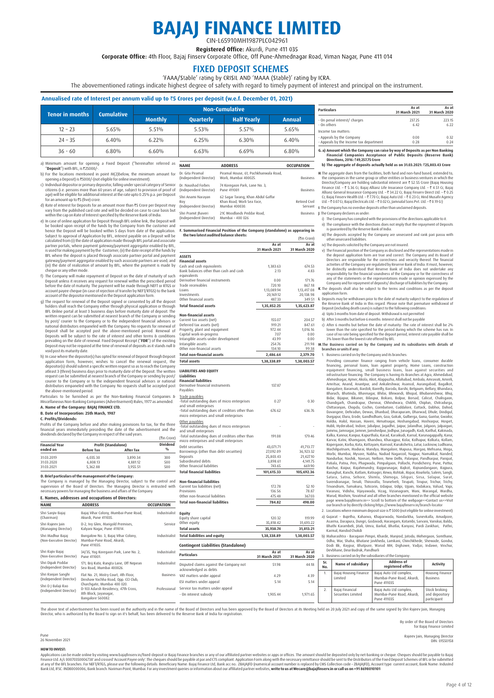# **BAJAJ FINANCE LIMITED** CIN-L65910MH1987PLC042961

Registered Office: Akurdi, Pune 411 035

Corporate Office: 4th Floor, Bajaj Finsery Corporate Office, Off Pune-Ahmednagar Road, Viman Nagar, Pune 411 014

FIXED DEPOSIT SCHEMES<br>
'FAAA/Stable' rating by CRISIL AND 'MAAA (Stable)' rating by ICRA.

The abovementioned ratings indicate highest degree of safety with regard to timely payment of interest and principal on the instrument.

## **Annualised rate of Interest per annum valid up to** `**5 Crores per deposit (w.e.f. December 01, 2021)**

| <b>Tenor in months</b> | <b>Cumulative</b> |                |           | <b>Non-Cumulative</b> |        |
|------------------------|-------------------|----------------|-----------|-----------------------|--------|
|                        |                   | <b>Monthly</b> | Quarterly | <b>Half Yearly</b>    | Annual |
| $12 - 23$              | 5.65%             | 5.51%          | 5.53%     | $5.57\%$              | 5.65%  |
| $24 - 35$              | 6.40%             | $6.22\%$       | 6.25%     | 6.30%                 | 6.40%  |
| $36 - 60$              | 6.80%             | 6.60%          | 6.63%     | 6.69%                 | 6.80%  |

T<sub>(I)</sub>

a) Minimum amount for opening a Fixed Deposit ("hereinafter referred as  $\overline{\phantom{a}}$ "**Deposit**") with BFL, is `25000/-.

b) For the locations mentioned in point M(2)below, the minimum amount for opening a Deposit) is `5000/-(not eligible for online investment).

- c) Individual depositor or primary depositor, falling under special category of Senior<br>citizens (i.e. persons more than 60 years of age, subject to provision of proof of<br>age) will be eligible for additional interest at the
- d) Rate of interest for Deposits for an amount more than ₹5 Crore per Deposit may
- vary from the published card rate and will be decided on case to case basis but<br>within the cap on Rate of Interest specified by the Reserve Bank of India.<br>e) In case of online application for Deposit through BFL online lin Subject to approval of Application by BFL, interest payable on a Deposit will be<br>calculated from (i) the date of application made through BFL portal and associate<br>partner portals, where payment gateway/payment aggregator e
- f) The Company will make repayment of Deposit on the date of maturity of such<br>Deposit unless it receives any request for renewal within the prescribed period<br>before the date of maturity. The payment will be made through N
- g) The request for renewal of the Deposit signed or consented by all the deposit<br>blens shall reach the Company either through physical application or through<br>BHC Online portal at least 3 business days before maturity date
- h) In case where the depositor(s) has opted for renewal of Deposit through Deposit<br>application form, however, wishes to cancel the renewal request, the application form, however, wishes to cancel the renewal request, the<br>depositor(s) should submit a specific written request so as to reach the Company<br>aleast 3 (three) business days prior to maturity date of the Deposit. Th

Particulars to be furnished as per the Non-Banking Financial Companies &<br>Miscellaneous/Non-Banking-Companies(Advertisement) Rules, 1977 as amended.<br>**A. Name of the Company: BAJAJ FINANCE LTD.** 

## **B. Date of Incorporation: 25th March, 1987**

**C. Profits/Dividends:**

Profits of the Company before and after making provisions for tax, for the three<br>financial years immediately preceding the date of the advertisement and the<br>dividends declared by the Company in respect of the said years.<br>

| <b>Financial Year</b> | <b>Profit (Standalone)</b> |                  | <b>Dividend</b> |
|-----------------------|----------------------------|------------------|-----------------|
| ended on              | <b>Before Tax</b>          | <b>After Tax</b> | 0/6             |
| 31.03.2019            | 6.035.30                   | 3.890.34         | 300             |
| 31.03.2020            | 6.808.13                   | 4.881.12         | 500             |
| 31.03.2021            | 5.362.88                   | 3.955.51         | 500             |

**D. Brief particulars of the management of the Company:** The Company is managed by the Managing Director, subject to the control and<br>supervision of the Board of Directors. The Managing Director is entrusted with<br>necessarypowersformanaging thebusiness.and.affairs.of.the.Company.

| E. Names, addresses and occupations of Directors: |                                                                                                                  |                   |  |  |
|---------------------------------------------------|------------------------------------------------------------------------------------------------------------------|-------------------|--|--|
| <b>NAME</b>                                       | <b>ADDRESS</b>                                                                                                   | <b>OCCUPATION</b> |  |  |
| Shri Sanjiv Bajaj<br>(Chairman)                   | Bajaj Vihar Colony, Mumbai-Pune Road,<br>Akurdi, Pune 411035.                                                    | Industrialist     |  |  |
| Shri Rajeev Jain<br>(Managing Director)           | D-2, Ivy Glen, Marigold Premises,<br>Kalyani Nagar, Pune 411014.                                                 | Service           |  |  |
| Shri Madhur Baiai<br>(Non-Executive Director)     | Bungalow No. 3, Bajaj Vihar Colony,<br>Mumbai-Pune Road, Akurdi,<br>Pune 411035.                                 | Industrialist     |  |  |
| Shri Rajiv Bajaj<br>(Non-Executive Director)      | 34/35, Yog Koregaon Park, Lane No. 2,<br>Pune 411001.                                                            | Industrialist     |  |  |
| Shri Dipak Poddar<br>(Independent Director)       | 171, Brij Kutir, Rungta Lane, Off Nepean<br>Sea Road, Mumbai 400026.                                             | Industrialist     |  |  |
| Shri Ranjan Sanghi<br>(Independent Director)      | Flat No. 21, Mistry Court, 4th Floor,<br>Dinshaw Vachha Road, Opp. CCI Club,                                     | <b>Business</b>   |  |  |
| Shri D J Balaji Rao<br>(Independent Director)     | Churchgate, Mumbai 400 020.<br>D-103 Adarsh Residency, 47th Cross,<br>8th Block, Jayanagar,<br>Bangalore 560082. | Professional      |  |  |

| <b>NAME</b>                                         | <b>ADDRESS</b>                                                                     | <b>OCCUPATION</b>        |
|-----------------------------------------------------|------------------------------------------------------------------------------------|--------------------------|
| Dr. Gita Piramal<br>(Independent Director)          | Piramal House, 61, Pochkhanwala Road,<br>Worli, Mumbai 400025.                     | <b>Business</b>          |
| Dr. Naushad Forbes<br>(Independent Director)        | 74 Koregaon Park, Lane No. 3,<br>Pune 411001                                       | <b>Business</b>          |
| Shri Anami Narayan<br>Rov<br>(Independent Director) | 62 Sagar Tarang, Khan Abdul Gaffar<br>Khan Road, Worli Sea Face,<br>Mumbai 400030. | Retired Civil<br>Servant |
| Shri Pramit Jhaveri<br>(Independent Director)       | 21C Woodlands Peddar Road.<br>Mumbai - 400 026                                     | <b>Business</b>          |

#### **F. Summarised Financial Position of the Company (standalone) as appearing in the two latest audited balance sheets:**  $(\tilde{\tau}$ in Crore)

|                                                                          | $\Delta s$ at<br>31 March 2021 | As at<br>31 March 2020 |
|--------------------------------------------------------------------------|--------------------------------|------------------------|
| <b>ASSETS</b>                                                            |                                |                        |
| <b>Financial assets</b>                                                  |                                |                        |
| Cash and cash equivalents                                                | 1.383.63                       | 674.53                 |
| Bank balances other than cash and cash<br>equivalents                    | 2.13                           | 4.83                   |
| Derivative financial instruments                                         | 0.00                           | 171.76                 |
| Trade receivables                                                        | 720.10                         | 867.18                 |
| Loans                                                                    | 1,13,089.94                    | 1,13,417.08            |
| Investments                                                              | 20,169.12                      | 20,138.98              |
| Other financial assets                                                   | 487.33                         | 349.51                 |
| <b>Total financial assets</b>                                            | 1,35,852.25                    | 1,35,623.87            |
| <b>Non-financial assets</b>                                              |                                |                        |
| Current tax assets (net)                                                 | 155.07                         | 204.57                 |
| Deferred tax assets (net)                                                | 919.21                         | 847.61                 |
| Property, plant and equipment                                            | 972.44                         | 1,016.16               |
| Capital work-in-progress                                                 | 7.07                           | 0.00                   |
| Intangible assets under development<br>Intangible assets                 | 43.99<br>254.76                | 0.00<br>211.98         |
| Other non-financial assets                                               | 134.10                         | 99.38                  |
| <b>Total non-financial assets</b>                                        | 2,486.64                       | 2,379.70               |
| <b>Total assets</b>                                                      | 1,38,338.89                    | 1,38,003.57            |
|                                                                          |                                |                        |
| <b>LIABILITIES AND EQUITY</b><br><b>Liabilities</b>                      |                                |                        |
| <b>Financial liabilities</b>                                             |                                |                        |
| Derivative financial instruments                                         | 137.87                         |                        |
| Payables                                                                 |                                |                        |
| Trade payables                                                           |                                |                        |
| -Total outstanding dues of micro enterprises                             | 0.27                           | 0.30                   |
| and small enterprises<br>-Total outstanding dues of creditors other than | 676.62                         | 636.76                 |
| micro enterprises and small enterprises                                  |                                |                        |
| Other payables                                                           |                                |                        |
| -Total outstanding dues of micro enterprises                             |                                |                        |
| and small enterprises                                                    |                                |                        |
| -Total outstanding dues of creditors other than                          | 191.08                         | 179.46                 |
| micro enterprises and small enterprises                                  |                                |                        |
| Debt securities                                                          | 43,071.71                      | 41,713.77              |
| Borrowings (other than debt securities)                                  | 27,092.09                      | 36,923.32              |
| Deposits                                                                 | 25.803.43                      | 21.427.10              |
| Subordinated debts<br>Other financial liabilities                        | 3,898.61                       | 4,141.75               |
|                                                                          | 743.65                         | 669.90                 |
| <b>Total financial liabilities</b>                                       | 101,615.33                     | 105,692.36             |
| <b>Non-financial liabilities</b>                                         |                                |                        |
| Current tax liabilities (net)                                            | 172.78                         | 52.10                  |
| Provisions                                                               | 136.56                         | 78.87                  |
| Other non-financial liabilities                                          | 475.48                         | 367.03                 |
| <b>Total non-financial liabilities</b>                                   | 784.82                         | 498.00                 |
| Equity                                                                   |                                |                        |
| Equity share capital                                                     | 120.32                         | 119.99                 |
| Other equity                                                             | 35,818.42                      | 31,693.22              |
| <b>Total assets</b>                                                      | 35,938.74                      | 31,813.21              |
| <b>Total liabilities and equity</b>                                      | 1,38,338.89                    | 1,38,003.57            |
| <b>Contingent Liabilities (Standalone)</b>                               |                                |                        |
| <b>Particulars</b>                                                       | As at                          | As at                  |
|                                                                          | 31 March 2021                  | 31 March 2020          |
| Disputed claims against the Company not                                  | 51.98                          | 44.18                  |
| acknowledged as debts                                                    |                                |                        |

| <b>Particulars</b>                     | As at<br>31 March 2021 | As at<br>31 March 2020 |
|----------------------------------------|------------------------|------------------------|
| - On penal interest/ charges           | 237.25                 | 223.15                 |
| - On others                            | 6.47                   | 6.22                   |
| Income tax matters:                    |                        |                        |
| - Appeals by the Company               | 0.00                   | 0.32                   |
| - Appeals by the Income tax department | 0.28                   | 0.24                   |

**G. a) Amount which the Company can raise by way of Deposits as per Non Banking Financial Companies Acceptance of Public Deposits (Reserve Bank) Directions, 2016:** `**49,257.75 Crore**

 **b) The aggregate of deposits actually held as on 31.03.2021:** `**25,803.43 Crore**

**H.** The aggregate dues from the facilities, both fund and non-fund based, extended to, the Director/Company are holding substantial interest are ₹ 52.55 Crore (Bajaj Housing Fincetor/Company are holding substantial inter

**J**. The Company declares as under:

 i) The Company has complied with the provisions of the directions applicable to it. ii) The compliance with the directions does not imply that the repayment of Deposits is guaranteed by the Reserve Bank of India.

- iii) The deposits accepted by the Company are unsecured and rank pari passu with other unsecured liabilities.
- 

iv) The deposits solicited<br>by the Company are otinsued.<br>  $\gamma$  The Financial position of the Company as disclosed and the representations made in<br>
the deposit application form are true and correct. The Company and its Boar

the Reserve Bank of India in this regard. Please note that premature withdrawal of Deposit (including death cases) is subject to the following conditions:

a) Upto 3 months from date of deposit: Withdrawal is not permitted b) After 3 months but before 6 months: Interest shall not be payable

c) After 6 months but before the date of maturity: The rate of interest shall be 2%<br>lower than the rate specified for the period during which the scheme has un. In<br>case of no rate being specified for the deposit period, in

1. Buisness carried on by the Compay and its branches:<br>
Providing consumer finance canging from vehicle loans, consumer durable<br>
financing, personal loans, loan against property, Home Loans, consumer durable<br>
equipment fin Raichur, Raipur, Raiphmundry, Raipurunagar, Raikot, Raipnandangano, Raipura, Ranaghat, Ranchi, Ratham, Ratnagiri, Rewa, Rohtak, Ropar, Rourkela, Salem, Sangli, Surencha, Selen, Sangli, Surencha, Surencha, Surencha, Surench

2. Locations where minimum deposit size is  $\bar{\tau}$  5000 (not eligible for online investment) a) Gujarat – Bujetha, Kahanva, Khaparwada, Nandarkha, Sunevkalla, Amadpore,<br>Asarma, Darapura, Dungri, Godavadi, Harangam, Kotambi, Sarvani, Vanskui, Balda,<br>Bhathi Karambeli, jitali, Umra, Barkal, Bhatlai, Kanyasi, Pardi Za

 b) Maharashtra - Baragaon Pimpri, Kharde, Manjrod, Jatoda, Mehergaon, Somthane, Odha, War, Shaha, Bhatane Javkheda, Lamkani, Chinchkhede, Shewade, Gondur, Dodi Bk, Raypur, Bhatpure, Warud MH, Dighawe, Vadjai, Indawe, Vinchur, Devbhane, Deur Budruk, Pandhurli 3. Business carried on by the subsidiaries of the Company:

| utir, Rungta Lane, Off Nepean<br>. Mumbai 400026.                                 | Industrialist | Disputed claims against the Company not<br>acknowledged as debts | 51.98        | 44.18        | Sr.<br>No. | Name of subsidiary                    | <b>Address of</b><br>reaistered office                              | <b>Activity</b>                                |
|-----------------------------------------------------------------------------------|---------------|------------------------------------------------------------------|--------------|--------------|------------|---------------------------------------|---------------------------------------------------------------------|------------------------------------------------|
| 1, Mistry Court, 4th Floor,<br>Vachha Road, Opp, CCI Club,<br>te. Mumbai 400 020. | Business      | VAT matters under appeal<br>ESI matters under appeal             | 4.29<br>5.14 | 4.39<br>5.14 |            | Baiai Housing Finance<br>Limited      | Baiai Auto Ltd complex.<br>Mumbai-Pune Road, Akurdi,<br>Pune 411035 | Housing Finance<br><b>Business</b>             |
| arsh Residency, 47th Cross,<br>, Jayanagar,<br>360082.                            | Professional  | Service tax matters under appeal<br>- On interest subsidy        | 1.905.44     | 1.971.65     |            | Baiai Financial<br>Securities Limited | Baiai Auto Ltd complex.<br>Mumbai-Pune Road, Akurdi,<br>Pune 411035 | Stock broking<br>and depository<br>participant |

The above text of advertisement has been issued on the authority and in the name of the Board of Directors and has been approved by the Board of Directors at its Meeting held on 20 July 2021 and copy of the same signed by

By order of the Board of Directors

for Bajaj Finance Limited

Rajeev Jain, Managing Director DIN: 01550158

Pune 26 November 2021

HOWTO INVEST:<br>Applications can be made online by visiting www.bajajfinserv.in/fixed-deposit or Bajaj Finance branches or any of our affiliated partner websites or apps or difices. The amount should be eleposited only by ne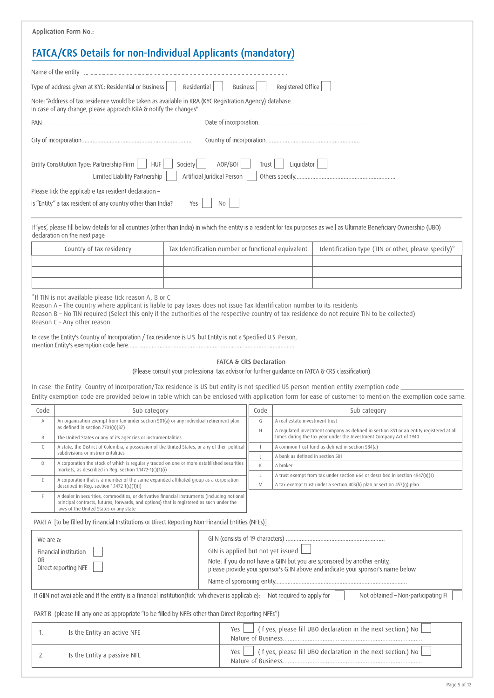|           | <b>Application Form No.:</b>                                                                                                                                                                                                                                                                                                                                                                                                                                                          |                                                                                                                                                                                             |                                    |              |                                |                                                                                                                                                                             |
|-----------|---------------------------------------------------------------------------------------------------------------------------------------------------------------------------------------------------------------------------------------------------------------------------------------------------------------------------------------------------------------------------------------------------------------------------------------------------------------------------------------|---------------------------------------------------------------------------------------------------------------------------------------------------------------------------------------------|------------------------------------|--------------|--------------------------------|-----------------------------------------------------------------------------------------------------------------------------------------------------------------------------|
|           | FATCA/CRS Details for non-Individual Applicants (mandatory)                                                                                                                                                                                                                                                                                                                                                                                                                           |                                                                                                                                                                                             |                                    |              |                                |                                                                                                                                                                             |
|           | Name of the entity $\frac{1}{2}$ = $\frac{1}{2}$ = $\frac{1}{2}$ = $\frac{1}{2}$ = $\frac{1}{2}$ = $\frac{1}{2}$ = $\frac{1}{2}$ = $\frac{1}{2}$                                                                                                                                                                                                                                                                                                                                      |                                                                                                                                                                                             |                                    |              |                                |                                                                                                                                                                             |
|           | Type of address given at KYC: Residential or Business                                                                                                                                                                                                                                                                                                                                                                                                                                 | Residential                                                                                                                                                                                 | Business                           |              | Registered Office              |                                                                                                                                                                             |
|           | Note: "Address of tax residence would be taken as available in KRA (KYC Registration Agency) database.<br>In case of any change, please approach KRA & notify the changes"                                                                                                                                                                                                                                                                                                            |                                                                                                                                                                                             |                                    |              |                                |                                                                                                                                                                             |
|           | PAN                                                                                                                                                                                                                                                                                                                                                                                                                                                                                   |                                                                                                                                                                                             |                                    |              |                                | Date of incorporation: _______________________________                                                                                                                      |
|           |                                                                                                                                                                                                                                                                                                                                                                                                                                                                                       |                                                                                                                                                                                             |                                    |              |                                |                                                                                                                                                                             |
|           | Entity Constitution Type: Partnership Firm<br>AOP/BOI<br><b>HUF</b><br>Society<br>Liquidator<br>Trust<br>Artificial Juridical Person<br>Limited Liability Partnership                                                                                                                                                                                                                                                                                                                 |                                                                                                                                                                                             |                                    |              |                                |                                                                                                                                                                             |
|           | Please tick the applicable tax resident declaration -                                                                                                                                                                                                                                                                                                                                                                                                                                 |                                                                                                                                                                                             |                                    |              |                                |                                                                                                                                                                             |
|           | Is "Entity" a tax resident of any country other than India?                                                                                                                                                                                                                                                                                                                                                                                                                           | Yes                                                                                                                                                                                         | No                                 |              |                                |                                                                                                                                                                             |
|           | declaration on the next page                                                                                                                                                                                                                                                                                                                                                                                                                                                          |                                                                                                                                                                                             |                                    |              |                                | If 'yes', please fill below details for all countries (other than India) in which the entity is a resident for tax purposes as well as Ultimate Beneficiary Ownership (UBO) |
|           | Country of tax residency                                                                                                                                                                                                                                                                                                                                                                                                                                                              | Tax Identification number or functional equivalent                                                                                                                                          |                                    |              |                                | Identification type (TIN or other, please specify)*                                                                                                                         |
|           |                                                                                                                                                                                                                                                                                                                                                                                                                                                                                       |                                                                                                                                                                                             |                                    |              |                                |                                                                                                                                                                             |
|           |                                                                                                                                                                                                                                                                                                                                                                                                                                                                                       |                                                                                                                                                                                             |                                    |              |                                |                                                                                                                                                                             |
|           | "If TIN is not available please tick reason A, B or C<br>Reason A - The country where applicant is liable to pay taxes does not issue Tax Identification number to its residents<br>Reason B - No TIN required (Select this only if the authorities of the respective country of tax residence do not require TIN to be collected)<br>Reason C - Any other reason<br>In case the Entity's Country of Incorporation / Tax residence is U.S. but Entity is not a Specified U.S. Person, |                                                                                                                                                                                             | <b>FATCA &amp; CRS Declaration</b> |              |                                |                                                                                                                                                                             |
|           | In case the Entity Country of Incorporation/Tax residence is US but entity is not specified US person mention entity exemption code                                                                                                                                                                                                                                                                                                                                                   |                                                                                                                                                                                             |                                    |              |                                | (Please consult your professional tax advisor for further guidance on FATCA & CRS classification)                                                                           |
|           |                                                                                                                                                                                                                                                                                                                                                                                                                                                                                       |                                                                                                                                                                                             |                                    |              |                                | Entity exemption code are provided below in table which can be enclosed with application form for ease of customer to mention the exemption code same.                      |
| Code<br>А | Sub category<br>An organization exempt from tax under section 501(a) or any individual retirement plan                                                                                                                                                                                                                                                                                                                                                                                |                                                                                                                                                                                             |                                    | Code<br>G    | A real estate investment trust | Sub category                                                                                                                                                                |
|           | as defined in section 7701(a)(37)                                                                                                                                                                                                                                                                                                                                                                                                                                                     |                                                                                                                                                                                             |                                    | $\mathsf H$  |                                | A regulated investment company as defined in section 851 or an entity registered at all                                                                                     |
| B<br>C    | The United States or any of its agencies or instrumentalities<br>A state, the District of Columbia, a possession of the United States, or any of their political                                                                                                                                                                                                                                                                                                                      |                                                                                                                                                                                             |                                    | $\mathbf{I}$ |                                | times during the tax year under the Investment Company Act of 1940<br>A common trust fund as defined in section 584(a)                                                      |
| D         | subdivisions or instrumentalities<br>A bank as defined in section 581<br>J<br>A corporation the stock of which is regularly traded on one or more established securities                                                                                                                                                                                                                                                                                                              |                                                                                                                                                                                             |                                    |              |                                |                                                                                                                                                                             |
|           | markets, as described in Reg. section 1.1472-1(c)(1)(i)                                                                                                                                                                                                                                                                                                                                                                                                                               | К<br>A broker<br>A trust exempt from tax under section 664 or described in section 4947(a)(1)<br>L<br>A corporation that is a member of the same expanded affiliated group as a corporation |                                    |              |                                |                                                                                                                                                                             |
| E         | described in Req. section $1.1472 - 1(c)(1)(i)$                                                                                                                                                                                                                                                                                                                                                                                                                                       |                                                                                                                                                                                             |                                    | M            |                                | A tax exempt trust under a section 403(b) plan or section 457(g) plan                                                                                                       |
| F         | A dealer in securities, commodities, or derivative financial instruments (including notional<br>principal contracts, futures, forwards, and options) that is registered as such under the<br>laws of the United States or any state                                                                                                                                                                                                                                                   |                                                                                                                                                                                             |                                    |              |                                |                                                                                                                                                                             |
|           | PART A [to be filled by Financial Institutions or Direct Reporting Non-Financial Entities (NFEs)]                                                                                                                                                                                                                                                                                                                                                                                     |                                                                                                                                                                                             |                                    |              |                                |                                                                                                                                                                             |
| We are a: |                                                                                                                                                                                                                                                                                                                                                                                                                                                                                       |                                                                                                                                                                                             |                                    |              |                                |                                                                                                                                                                             |
| 0R        | Financial institution                                                                                                                                                                                                                                                                                                                                                                                                                                                                 |                                                                                                                                                                                             | GIN is applied but not yet issued  |              |                                |                                                                                                                                                                             |
|           | Direct reporting NFE                                                                                                                                                                                                                                                                                                                                                                                                                                                                  |                                                                                                                                                                                             |                                    |              |                                | Note: If you do not have a GIIN but you are sponsored by another entity,<br>please provide your sponsor's GIIN above and indicate your sponsor's name below                 |
|           |                                                                                                                                                                                                                                                                                                                                                                                                                                                                                       |                                                                                                                                                                                             |                                    |              |                                |                                                                                                                                                                             |
|           | If GIIN not available and If the entity is a financial institution(tick whichever is applicable): Not required to apply for                                                                                                                                                                                                                                                                                                                                                           |                                                                                                                                                                                             |                                    |              |                                | Not obtained - Non-participating FI                                                                                                                                         |
|           | PART B (please fill any one as appropriate "to be filled by NFEs other than Direct Reporting NFEs")                                                                                                                                                                                                                                                                                                                                                                                   |                                                                                                                                                                                             |                                    |              |                                |                                                                                                                                                                             |
| 1.        | Is the Entity an active NFE                                                                                                                                                                                                                                                                                                                                                                                                                                                           |                                                                                                                                                                                             | Yes                                |              |                                | (If yes, please fill UBO declaration in the next section.) No                                                                                                               |
| 2.        | Is the Entity a passive NFE                                                                                                                                                                                                                                                                                                                                                                                                                                                           |                                                                                                                                                                                             | Yes                                |              |                                | (If yes, please fill UBO declaration in the next section.) No                                                                                                               |
|           |                                                                                                                                                                                                                                                                                                                                                                                                                                                                                       |                                                                                                                                                                                             |                                    |              |                                |                                                                                                                                                                             |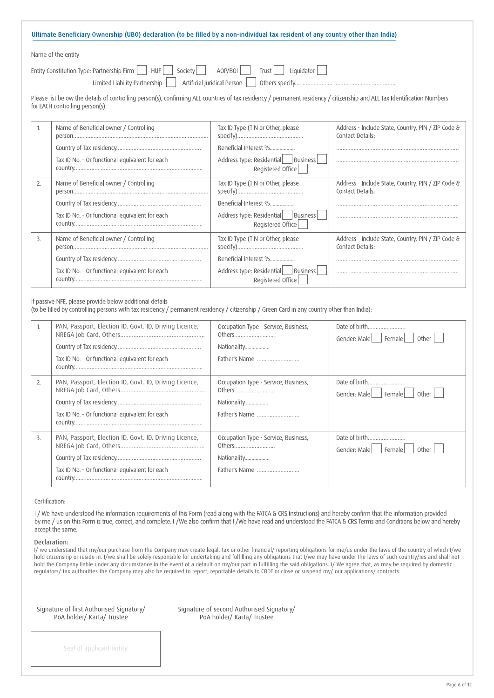| Ultimate Beneficiary Ownership (UBO) declaration (to be filled by a non-individual tax resident of any country other than India) |
|----------------------------------------------------------------------------------------------------------------------------------|
| Name of the entity decreases are contained and the material contact the new Mame of the entity decreases are n                   |
| Entity Constitution Type: Partnership Firm $\Box$ HUF Society AOP/BOI Trust Liquidator $\Box$                                    |
|                                                                                                                                  |

Please list below the details of controlling person(s), confirming ALL countries of tax residency / permanent residency / citizenship and ALL Tax Identification Numbers for EACH controlling person(s):

|    | Name of Beneficial owner / Controlling         | Tax ID Type (TIN or Other, please                         | Address - Include State, Country, PIN / ZIP Code &<br>Contact Details: |
|----|------------------------------------------------|-----------------------------------------------------------|------------------------------------------------------------------------|
|    |                                                | Beneficial Interest %                                     |                                                                        |
|    | Tax ID No. - Or functional equivalent for each | Address type: Residential   Business<br>Registered Office |                                                                        |
| 2. | Name of Beneficial owner / Controlling         | Tax ID Type (TIN or Other, please                         | Address - Include State, Country, PIN / ZIP Code &<br>Contact Details: |
|    |                                                | Beneficial Interest %                                     |                                                                        |
|    | Tax ID No. - Or functional equivalent for each | Address type: Residential   Business<br>Registered Office |                                                                        |
| 3. | Name of Beneficial owner / Controlling         | Tax ID Type (TIN or Other, please                         | Address - Include State, Country, PIN / ZIP Code &<br>Contact Details: |
|    |                                                | Beneficial Interest %                                     |                                                                        |
|    | Tax ID No. - Or functional equivalent for each | Address type: Residential   Business<br>Registered Office |                                                                        |

If passive NFE, please provide below additional details

(to be filled by controlling persons with tax residency / permanent residency / citizenship / Green Card in any country other than India):

|    | PAN, Passport, Election ID, Govt. ID, Driving Licence,<br>Tax ID No. - Or functional equivalent for each | Occupation Type - Service, Business,<br>Others<br>Nationality<br>Father's Name | Date of birth<br>Gender: Male     Female  <br>Other I |
|----|----------------------------------------------------------------------------------------------------------|--------------------------------------------------------------------------------|-------------------------------------------------------|
| 2. | PAN, Passport, Election ID, Govt. ID, Driving Licence,<br>Tax ID No. - Or functional equivalent for each | Occupation Type - Service, Business,<br>Others<br>Nationality<br>Father's Name | Date of birth<br>Gender: Male   Female<br>Other I     |
| 3. | PAN, Passport, Election ID, Govt. ID, Driving Licence,<br>Tax ID No. - Or functional equivalent for each | Occupation Type - Service, Business,<br>Nationality<br>Father's Name           | Date of birth<br>Gender: Male     Female  <br>0ther   |

Certification:

I/We have understood the information requirements of this Form (read along with the FATCA & CRS Instructions) and hereby confirm that the information provided by me / us on this Form is true, correct, and complete. I / We also confirm that I / We have read and understood the FATCA & CRS Terms and Conditions below and hereby accept the same.

## Declaration:

I/ we understand that my/our purchase from the Company may create legal, tax or other financial/ reporting obligations for me/us under the laws of the country of which I/we hold citizenship or reside in. I/we shall be solely responsible for undertaking and fulfilling any obligations that I/we may have under the laws of such country/ies and shall not hold the Company liable under any circumstance in the event of a default on my/our part in fulfilling the said obligations. I/ We agree that, as may be required by domestic regulators/ tax authorities the Company may also be required to report, reportable details to CBDT or close or suspend my/ our applications/ contracts.

| Signature of first Authorised Signatory/ |
|------------------------------------------|
| PoA holder/ Karta/ Trustee               |

Signature of second Authorised Signatory/ PoA holder/ Karta/ Trustee

Seal of applicant entity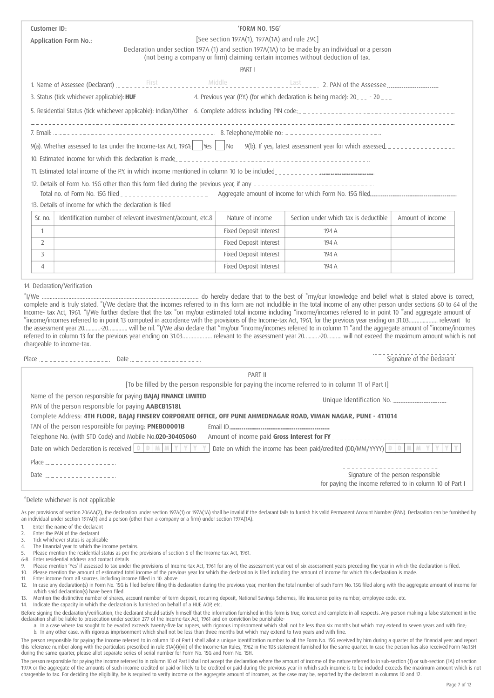| Customer ID:<br>[See section 197A(1), 197A(1A) and rule 29C]<br><b>Application Form No.:</b><br>Declaration under section 197A (1) and section 197A(1A) to be made by an individual or a person<br>(not being a company or firm) claiming certain incomes without deduction of tax.<br>PART I<br>3. Status (tick whichever applicable): HUF<br>4. Previous year (P.Y.) (for which declaration is being made): 20___ - 20___<br>5. Residential Status (tick whichever applicable): Indian/Other 6. Complete address including PIN code:<br>10. Estimated income for which this declaration is made<br>11. Estimated total income of the P.Y. in which income mentioned in column 10 to be included<br>13. Details of income for which the declaration is filed<br>Identification number of relevant investment/account, etc.8<br>Nature of income<br>Section under which tax is deductible<br>Amount of income<br>Sr. no.<br><b>Fixed Deposit Interest</b><br>$\mathbf{1}$<br>194 A<br>Fixed Deposit Interest<br>$\overline{2}$<br>194 A<br>Fixed Deposit Interest<br>3<br>194 A<br>Fixed Deposit Interest<br>$\overline{4}$<br>194 A<br>14. Declaration/Verification |                           |                |  |
|----------------------------------------------------------------------------------------------------------------------------------------------------------------------------------------------------------------------------------------------------------------------------------------------------------------------------------------------------------------------------------------------------------------------------------------------------------------------------------------------------------------------------------------------------------------------------------------------------------------------------------------------------------------------------------------------------------------------------------------------------------------------------------------------------------------------------------------------------------------------------------------------------------------------------------------------------------------------------------------------------------------------------------------------------------------------------------------------------------------------------------------------------------------------|---------------------------|----------------|--|
|                                                                                                                                                                                                                                                                                                                                                                                                                                                                                                                                                                                                                                                                                                                                                                                                                                                                                                                                                                                                                                                                                                                                                                      |                           | 'FORM NO. 15G' |  |
|                                                                                                                                                                                                                                                                                                                                                                                                                                                                                                                                                                                                                                                                                                                                                                                                                                                                                                                                                                                                                                                                                                                                                                      |                           |                |  |
|                                                                                                                                                                                                                                                                                                                                                                                                                                                                                                                                                                                                                                                                                                                                                                                                                                                                                                                                                                                                                                                                                                                                                                      |                           |                |  |
|                                                                                                                                                                                                                                                                                                                                                                                                                                                                                                                                                                                                                                                                                                                                                                                                                                                                                                                                                                                                                                                                                                                                                                      |                           |                |  |
|                                                                                                                                                                                                                                                                                                                                                                                                                                                                                                                                                                                                                                                                                                                                                                                                                                                                                                                                                                                                                                                                                                                                                                      |                           |                |  |
|                                                                                                                                                                                                                                                                                                                                                                                                                                                                                                                                                                                                                                                                                                                                                                                                                                                                                                                                                                                                                                                                                                                                                                      |                           |                |  |
|                                                                                                                                                                                                                                                                                                                                                                                                                                                                                                                                                                                                                                                                                                                                                                                                                                                                                                                                                                                                                                                                                                                                                                      |                           |                |  |
|                                                                                                                                                                                                                                                                                                                                                                                                                                                                                                                                                                                                                                                                                                                                                                                                                                                                                                                                                                                                                                                                                                                                                                      |                           |                |  |
|                                                                                                                                                                                                                                                                                                                                                                                                                                                                                                                                                                                                                                                                                                                                                                                                                                                                                                                                                                                                                                                                                                                                                                      |                           |                |  |
|                                                                                                                                                                                                                                                                                                                                                                                                                                                                                                                                                                                                                                                                                                                                                                                                                                                                                                                                                                                                                                                                                                                                                                      |                           |                |  |
|                                                                                                                                                                                                                                                                                                                                                                                                                                                                                                                                                                                                                                                                                                                                                                                                                                                                                                                                                                                                                                                                                                                                                                      |                           |                |  |
|                                                                                                                                                                                                                                                                                                                                                                                                                                                                                                                                                                                                                                                                                                                                                                                                                                                                                                                                                                                                                                                                                                                                                                      |                           |                |  |
|                                                                                                                                                                                                                                                                                                                                                                                                                                                                                                                                                                                                                                                                                                                                                                                                                                                                                                                                                                                                                                                                                                                                                                      |                           |                |  |
|                                                                                                                                                                                                                                                                                                                                                                                                                                                                                                                                                                                                                                                                                                                                                                                                                                                                                                                                                                                                                                                                                                                                                                      |                           |                |  |
|                                                                                                                                                                                                                                                                                                                                                                                                                                                                                                                                                                                                                                                                                                                                                                                                                                                                                                                                                                                                                                                                                                                                                                      |                           |                |  |
|                                                                                                                                                                                                                                                                                                                                                                                                                                                                                                                                                                                                                                                                                                                                                                                                                                                                                                                                                                                                                                                                                                                                                                      |                           |                |  |
|                                                                                                                                                                                                                                                                                                                                                                                                                                                                                                                                                                                                                                                                                                                                                                                                                                                                                                                                                                                                                                                                                                                                                                      |                           |                |  |
|                                                                                                                                                                                                                                                                                                                                                                                                                                                                                                                                                                                                                                                                                                                                                                                                                                                                                                                                                                                                                                                                                                                                                                      |                           |                |  |
|                                                                                                                                                                                                                                                                                                                                                                                                                                                                                                                                                                                                                                                                                                                                                                                                                                                                                                                                                                                                                                                                                                                                                                      |                           |                |  |
|                                                                                                                                                                                                                                                                                                                                                                                                                                                                                                                                                                                                                                                                                                                                                                                                                                                                                                                                                                                                                                                                                                                                                                      |                           |                |  |
|                                                                                                                                                                                                                                                                                                                                                                                                                                                                                                                                                                                                                                                                                                                                                                                                                                                                                                                                                                                                                                                                                                                                                                      |                           |                |  |
|                                                                                                                                                                                                                                                                                                                                                                                                                                                                                                                                                                                                                                                                                                                                                                                                                                                                                                                                                                                                                                                                                                                                                                      |                           |                |  |
|                                                                                                                                                                                                                                                                                                                                                                                                                                                                                                                                                                                                                                                                                                                                                                                                                                                                                                                                                                                                                                                                                                                                                                      |                           |                |  |
| complete and is truly stated. "I/We declare that the incomes referred to in this form are not includible in the total income of any other person under sections 60 to 64 of the<br>Income- tax Act, 1961. "I/We further declare that the tax "on my/our estimated total income including "income/incomes referred to in point 10 "and aggregate amount of                                                                                                                                                                                                                                                                                                                                                                                                                                                                                                                                                                                                                                                                                                                                                                                                            |                           |                |  |
|                                                                                                                                                                                                                                                                                                                                                                                                                                                                                                                                                                                                                                                                                                                                                                                                                                                                                                                                                                                                                                                                                                                                                                      | chargeable to income-tax. |                |  |
| income/incomes referred to in point 13 computed in accordance with the provisions of the Income-tax Act, 1961, for the previous year ending on 31.03 relevant to<br>the assessment year 2020 will be nil. "I/We also declare that "my/our "income/incomes referred to in column 11 "and the aggregate amount of "income/incomes<br>referred to in column 13 for the previous year ending on 31.03 relevant to the assessment year 20 20 will not exceed the maximum amount which is not                                                                                                                                                                                                                                                                                                                                                                                                                                                                                                                                                                                                                                                                              |                           |                |  |
| Signature of the Declarant                                                                                                                                                                                                                                                                                                                                                                                                                                                                                                                                                                                                                                                                                                                                                                                                                                                                                                                                                                                                                                                                                                                                           |                           | PART II        |  |

| PART II                                                                                                                |                                                                                                              |
|------------------------------------------------------------------------------------------------------------------------|--------------------------------------------------------------------------------------------------------------|
| [To be filled by the person responsible for paying the income referred to in column 11 of Part I]                      |                                                                                                              |
| Name of the person responsible for paying <b>BAJAJ FINANCE LIMITED</b>                                                 | Unique Identification No.                                                                                    |
| PAN of the person responsible for paying <b>AABCB1518L</b>                                                             |                                                                                                              |
| Complete Address: 4TH FLOOR, BAJAJ FINSERV CORPORATE OFFICE, OFF PUNE AHMEDNAGAR ROAD, VIMAN NAGAR, PUNE - 411014      |                                                                                                              |
| TAN of the person responsible for paying: PNEB00001B                                                                   |                                                                                                              |
| Telephone No. (with STD Code) and Mobile No.020-30405060                                                               | Amount of income paid Gross Interest for FY.                                                                 |
| Date on which Declaration is received $\left  D \right  D \left  M \right  M \left  Y \right  Y \left  Y \right $<br>v | Date on which the income has been paid/credited (DD/MM/YYYY) $\boxed{0}$ $\boxed{0}$ $\boxed{M}$ $\boxed{M}$ |
|                                                                                                                        |                                                                                                              |
|                                                                                                                        | Signature of the person responsible                                                                          |
|                                                                                                                        | for paying the income referred to in column 10 of Part I                                                     |

### \*Delete whichever is not applicable

As per provisions of section 206AA(2), the declaration under section 197A(1) or 197A(1A) shall be invalid if the declarant fails to furnish his valid Permanent Account Number (PAN). Declaration can be furnished by an individual under section 197A(1) and a person (other than a company or a firm) under section 197A(1A).

- 1. Enter the name of the declarant
- 2. Enter the PAN of the declarant
- 3. Tick whichever status is applicable
- 4. The financial year to which the income pertains.
- 5. Please mention the residential status as per the provisions of section 6 of the Income-tax Act, 1961. 6-8. Enter residential address and contact details
- 
- 9. Please mention 'Yes' if assessed to tax under the provisions of Income-tax Act, 1961 for any of the assessment year out of six assessment years preceding the year in which the declaration is filed.<br>10. Please mention th
- 10. Please mention the amount of estimated total income of the previous year for which the declaration is filed including the amount of income for which this declaration is made.<br>The star income from all sources, including

11. Enter income from all sources, including income filled in 10. above<br>12. In case any declaration(s) in Form No. 15G is filed before filing this In case any declaration(s) in Form No. 15G is filed before filing this declaration during the previous year, mention the total number of such Form No. 15G filed along with the aggregate amount of income for which said declaration(s) have been filed.

13. Mention the distinctive number of shares, account number of term deposit, recurring deposit, National Savings Schemes, life insurance policy number, employee code, etc.<br>14. Indicate the capacity in which the declaratio

Indicate the capacity in which the declaration is furnished on behalf of a HUF, AOP, etc.

Before signing the declaration/verification, the declarant should satisfy himself that the information furnished in this form is true, correct and complete in all respects. Any person making a false statement in the declaration shall be liable to prosecution under section 277 of the Income-tax Act, 1961 and on conviction be punishable-

a. In a case where tax sought to be evaded exceeds twenty-five lac rupees, with rigorous imprisonment which shall not be less than six months but which may extend to seven years and with fine; b. In any other case, with rigorous imprisonment which shall not be less than three months but which may extend to two years and with fine.

The person responsible for paying the income referred to in column 10 of Part I shall allot a unique identification number to all the Form No. 15G received by him during a quarter of the financial year and report this reference number along with the particulars prescribed in rule 31A(4)(vii) of the Income-tax Rules, 1962 in the TDS statement furnished for the same quarter. In case the person has also received Form No.15H during the same quarter, please allot separate series of serial number for Form No. 15G and Form No. 15H.

The person responsible for paying the income referred to in column 10 of Part I shall not accept the declaration where the amount of income of the nature referred to in sub-section (1) or sub-section (1A) of section 197A or the aggregate of the amounts of such income credited or paid or likely to be credited or paid during the previous year in which such income is to be included exceeds the maximum amount which is not chargeable to tax. For deciding the eligibility, he is required to verify income or the aggregate amount of incomes, as the case may be, reported by the declarant in columns 10 and 12.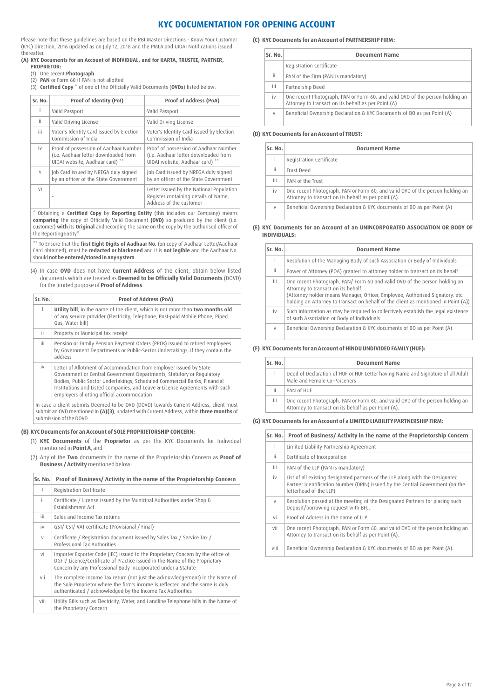# **KYC DOCUMENTATION FOR OPENING ACCOUNT**

Please note that these guidelines are based on the RBI Master Directions - Know Your Customer (KYC) Direction, 2016 updated as on July 12, 2018 and the PMLA and UIDAI Notifications issued thereafter.

### **(A) KYC Documents for an Account of INDIVIDUAL, and for KARTA, TRUSTEE, PARTNER, PROPRIETOR:**

- (1) One recent **Photograph**
- (2) **PAN** or Form 60 if PAN is not allotted

(3) **Certified Copy \*** of one of the Officially Valid Documents (**OVDs**) listed below:

| Sr. No. | Proof of Identity (PoI)                                                                                          | <b>Proof of Address (PoA)</b>                                                                                    |
|---------|------------------------------------------------------------------------------------------------------------------|------------------------------------------------------------------------------------------------------------------|
| ı       | Valid Passport                                                                                                   | Valid Passport                                                                                                   |
| ii      | Valid Driving License                                                                                            | Valid Driving License                                                                                            |
| iii.    | Voter's Identity Card issued by Election<br>Commission of India                                                  | Voter's Identity Card issued by Election<br>Commission of India                                                  |
| iv      | Proof of possession of Aadhaar Number<br>(i.e. Aadhaar letter downloaded from<br>UIDAI website, Aadhaar card) ** | Proof of possession of Aadhaar Number<br>(i.e. Aadhaar letter downloaded from<br>UIDAI website, Aadhaar card) ** |
| $\vee$  | Job Card issued by NREGA duly signed<br>by an officer of the State Government                                    | Job Card issued by NREGA duly signed<br>by an officer of the State Government                                    |
| vi      | ٠                                                                                                                | Letter issued by the National Population<br>Register containing details of Name,<br>Address of the customer      |

\* Obtaining a **Certified Copy** by **Reporting Entity** (this includes our Company) means **comparing** the copy of Officially Valid Document **(OVD)** so produced by the client (i.e. customer) **with** its **Original** and recording the same on the copy by the authorised officer of the Reporting Entity"

\*\* To Ensure that the **first Eight Digits of Aadhaar No.** (on copy of Aadhaar Letter/Aadhaar Card obtained), must be **redacted or blackened** and it is **not legible** and the Aadhaar No. should **not be entered/stored in any system**.

 (4) In case **OVD** does not have **Current Address** of the client, obtain below listed documents which are treated as **Deemed to be Officially Valid Documents** (DOVD) for the limited purpose of **Proof of Address**:

| Sr. No. | Proof of Address (PoA)                                                                                                                                                                                                                                                                                                                                |
|---------|-------------------------------------------------------------------------------------------------------------------------------------------------------------------------------------------------------------------------------------------------------------------------------------------------------------------------------------------------------|
|         | Utility bill, in the name of the client, which is not more than two months old<br>of any service provider (Electricity, Telephone, Post-paid Mobile Phone, Piped<br>Gas, Water bill)                                                                                                                                                                  |
| ii.     | Property or Municipal tax receipt                                                                                                                                                                                                                                                                                                                     |
| iii.    | Pension or Family Pension Payment Orders (PPOs) issued to retired employees<br>by Government Departments or Public-Sector Undertakings, if they contain the<br>address                                                                                                                                                                                |
| iv      | Letter of Allotment of Accommodation from Employer issued by State<br>Government or Central Government Departments, Statutory or Regulatory<br>Bodies, Public Sector Undertakings, Scheduled Commercial Banks, Financial<br>Institutions and Listed Companies, and Leave & License Agreements with such<br>employers allotting official accommodation |
|         | In case a client submits Deemed to be OVD (DOVD) towards Current Address, client must                                                                                                                                                                                                                                                                 |

In case a client submits Deemed to be OVD (DOVD) towards Current Address, client must submit an OVD mentioned in **(A)(3)**, updated with Current Address, within **three months** of submission of the DOVD.

## **(B) KYC Documents for an Account of SOLE PROPRIETORSHIP CONCERN:**

- (1) **KYC Documents** of the **Proprietor** as per the KYC Documents for Individual mentioned in **Point A**, and
- (2) Any of the **Two** documents in the name of the Proprietorship Concern as **Proof of Business / Activity** mentioned below:

| Sr. No. | Proof of Business/ Activity in the name of the Proprietorship Concern                                                                                                                                                           |
|---------|---------------------------------------------------------------------------------------------------------------------------------------------------------------------------------------------------------------------------------|
| I.      | Registration Certificate                                                                                                                                                                                                        |
| ii.     | Certificate / License issued by the Municipal Authorities under Shop &<br><b>Establishment Act</b>                                                                                                                              |
| iii.    | Sales and Income Tax returns                                                                                                                                                                                                    |
| iv      | GST/ CST/ VAT certificate (Provisional / Final)                                                                                                                                                                                 |
| $\vee$  | Certificate / Registration document issued by Sales Tax / Service Tax /<br>Professional Tax Authorities                                                                                                                         |
| vi      | Importer Exporter Code (IEC) issued to the Proprietary Concern by the office of<br>DGFT/ Licence/Certificate of Practice issued in the Name of the Proprietary<br>Concern by any Professional Body Incorporated under a Statute |
| vii     | The complete Income Tax return (not just the acknowledgement) in the Name of<br>the Sole Proprietor where the firm's income is reflected and the same is duly<br>authenticated / acknowledged by the Income Tax Authorities     |
| viii    | Utility Bills such as Electricity, Water, and Landline Telephone bills in the Name of<br>the Proprietary Concern                                                                                                                |

## **(C) KYC Documents for an Account of PARTNERSHIP FIRM:**

| Sr. No. | <b>Document Name</b>                                                                                                                 |
|---------|--------------------------------------------------------------------------------------------------------------------------------------|
|         | Registration Certificate                                                                                                             |
| ïi      | PAN of the Firm (PAN is mandatory)                                                                                                   |
| iίi     | Partnership Deed                                                                                                                     |
| iv      | One recent Photograph, PAN or Form 60, and valid OVD of the person holding an<br>Attorney to transact on its behalf as per Point (A) |
| $\vee$  | Beneficial Ownership Declaration & KYC Documents of BO as per Point (A)                                                              |

## **(D) KYC Documents for an Account of TRUST:**

| Sr. No. | <b>Document Name</b>                                                                                                                  |
|---------|---------------------------------------------------------------------------------------------------------------------------------------|
|         | Registration Certificate                                                                                                              |
| ii      | Trust Deed                                                                                                                            |
| iii     | PAN of the Trust                                                                                                                      |
| iv      | One recent Photograph, PAN or Form 60, and valid OVD of the person holding an<br>Attorney to transact on its behalf as per point (A). |
| V       | Beneficial Ownership Declaration & KYC documents of BO as per Point (A)                                                               |

## **(E) KYC Documents for an Account of an UNINCORPORATED ASSOCIATION OR BODY OF INDIVIDUALS:**

| Sr. No. | <b>Document Name</b>                                                                                                                                                                                                                                                                    |
|---------|-----------------------------------------------------------------------------------------------------------------------------------------------------------------------------------------------------------------------------------------------------------------------------------------|
|         | Resolution of the Managing Body of such Association or Body of Individuals                                                                                                                                                                                                              |
| ii.     | Power of Attorney (POA) granted to attorney holder to transact on its behalf                                                                                                                                                                                                            |
| iii.    | One recent Photograph, PAN/Form 60 and valid OVD of the person holding an<br>Attorney to transact on its behalf.<br>(Attorney holder means Manager, Officer, Employee, Authorised Signatory, etc.<br>holding an Attorney to transact on behalf of the client as mentioned in Point (A)) |
| iv      | Such information as may be required to collectively establish the legal existence<br>of such Association or Body of Individuals                                                                                                                                                         |
| V       | Beneficial Ownership Declaration & KYC documents of BO as per Point (A)                                                                                                                                                                                                                 |

## **(F) KYC Documents for an Account of HINDU UNDIVIDED FAMILY (HUF):**

| Sr. No. | <b>Document Name</b>                                                                                                                  |
|---------|---------------------------------------------------------------------------------------------------------------------------------------|
|         | Deed of Declaration of HUF or HUF Letter having Name and Signature of all Adult<br>Male and Female Co-Parceners                       |
| ïi      | PAN of HUF                                                                                                                            |
| iii     | One recent Photograph, PAN or Form 60, and valid OVD of the person holding an<br>Attorney to transact on its behalf as per Point (A). |

## **(G) KYC Documents for an Account of a LIMITED LIABILITY PARTNERSHIP FIRM:**

| Sr. No. | Proof of Business/Activity in the name of the Proprietorship Concern                                                                                                                     |
|---------|------------------------------------------------------------------------------------------------------------------------------------------------------------------------------------------|
| Т       | Limited Liability Partnership Agreement                                                                                                                                                  |
| ii      | Certificate of Incorporation                                                                                                                                                             |
| iii.    | PAN of the LLP (PAN is mandatory)                                                                                                                                                        |
| iv      | List of all existing designated partners of the LLP along with the Designated<br>Partner Identification Number (DPIN) issued by the Central Government (on the<br>letterhead of the LLP) |
| $\vee$  | Resolution passed at the meeting of the Designated Partners for placing such<br>Deposit/borrowing request with BFL.                                                                      |
| vi      | Proof of Address in the name of LLP                                                                                                                                                      |
| vii     | One recent Photograph, PAN or Form 60, and valid OVD of the person holding an<br>Attorney to transact on its behalf as per Point (A).                                                    |
| viii    | Beneficial Ownership Declaration & KYC documents of BO as per Point (A).                                                                                                                 |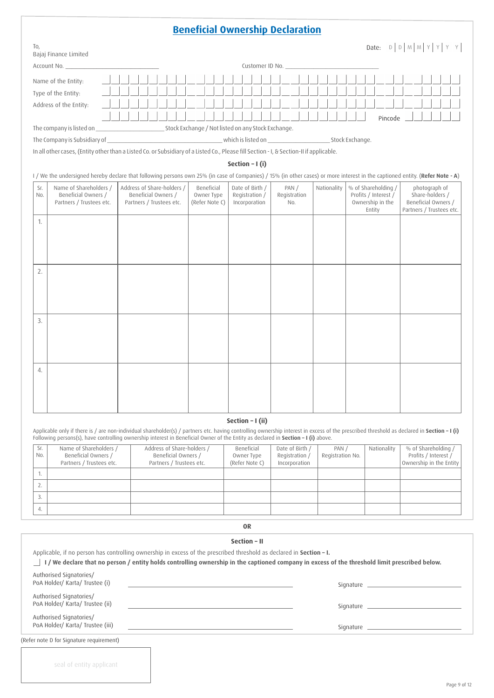# **Beneficial Ownership Declaration**

| To,     | Bajaj Finance Limited                                                                                                                                                         |                                                 |  |                              |                                 |                     |             |                                                    | Date: $D   D   M   M   Y   Y$                                      |  |  |  |  |  |  |
|---------|-------------------------------------------------------------------------------------------------------------------------------------------------------------------------------|-------------------------------------------------|--|------------------------------|---------------------------------|---------------------|-------------|----------------------------------------------------|--------------------------------------------------------------------|--|--|--|--|--|--|
|         | Account No.                                                                                                                                                                   |                                                 |  |                              | Customer ID No.                 |                     |             |                                                    |                                                                    |  |  |  |  |  |  |
|         | Name of the Entity:<br>Type of the Entity:                                                                                                                                    |                                                 |  |                              |                                 |                     |             |                                                    |                                                                    |  |  |  |  |  |  |
|         | Address of the Entity:                                                                                                                                                        |                                                 |  |                              |                                 |                     |             |                                                    |                                                                    |  |  |  |  |  |  |
|         |                                                                                                                                                                               |                                                 |  |                              |                                 |                     |             |                                                    |                                                                    |  |  |  |  |  |  |
| Pincode |                                                                                                                                                                               |                                                 |  |                              |                                 |                     |             |                                                    |                                                                    |  |  |  |  |  |  |
|         | The Company is Subsidiary of                                                                                                                                                  |                                                 |  |                              |                                 |                     |             |                                                    |                                                                    |  |  |  |  |  |  |
|         | In all other cases, (Entity other than a Listed Co. or Subsidiary of a Listed Co., Please fill Section - I, & Section-II if applicable.                                       |                                                 |  |                              |                                 |                     |             |                                                    |                                                                    |  |  |  |  |  |  |
|         | Section - I (i)                                                                                                                                                               |                                                 |  |                              |                                 |                     |             |                                                    |                                                                    |  |  |  |  |  |  |
|         | I / We the undersigned hereby declare that following persons own 25% (in case of Companies) / 15% (in other cases) or more interest in the captioned entity. (Refer Note - A) |                                                 |  |                              |                                 |                     |             |                                                    |                                                                    |  |  |  |  |  |  |
| Sr.     | Name of Shareholders /                                                                                                                                                        | Address of Share-holders /                      |  | Beneficial                   | Date of Birth /                 | PAN/                | Nationality | % of Shareholding /                                | photograph of                                                      |  |  |  |  |  |  |
| No.     | Beneficial Owners /<br>Partners / Trustees etc.                                                                                                                               | Beneficial Owners /<br>Partners / Trustees etc. |  | Owner Type<br>(Refer Note C) | Registration /<br>Incorporation | Registration<br>No. |             | Profits / Interest /<br>Ownership in the<br>Entity | Share-holders /<br>Beneficial Owners /<br>Partners / Trustees etc. |  |  |  |  |  |  |
| 1.      |                                                                                                                                                                               |                                                 |  |                              |                                 |                     |             |                                                    |                                                                    |  |  |  |  |  |  |
|         |                                                                                                                                                                               |                                                 |  |                              |                                 |                     |             |                                                    |                                                                    |  |  |  |  |  |  |
|         |                                                                                                                                                                               |                                                 |  |                              |                                 |                     |             |                                                    |                                                                    |  |  |  |  |  |  |
|         |                                                                                                                                                                               |                                                 |  |                              |                                 |                     |             |                                                    |                                                                    |  |  |  |  |  |  |
| 2.      |                                                                                                                                                                               |                                                 |  |                              |                                 |                     |             |                                                    |                                                                    |  |  |  |  |  |  |
|         |                                                                                                                                                                               |                                                 |  |                              |                                 |                     |             |                                                    |                                                                    |  |  |  |  |  |  |
|         |                                                                                                                                                                               |                                                 |  |                              |                                 |                     |             |                                                    |                                                                    |  |  |  |  |  |  |
|         |                                                                                                                                                                               |                                                 |  |                              |                                 |                     |             |                                                    |                                                                    |  |  |  |  |  |  |
| 3.      |                                                                                                                                                                               |                                                 |  |                              |                                 |                     |             |                                                    |                                                                    |  |  |  |  |  |  |
|         |                                                                                                                                                                               |                                                 |  |                              |                                 |                     |             |                                                    |                                                                    |  |  |  |  |  |  |
|         |                                                                                                                                                                               |                                                 |  |                              |                                 |                     |             |                                                    |                                                                    |  |  |  |  |  |  |
|         |                                                                                                                                                                               |                                                 |  |                              |                                 |                     |             |                                                    |                                                                    |  |  |  |  |  |  |

# **Section – I (ii)**

4.

seal of entity applicant

Applicable only if there is / are non-individual shareholder(s) / partners etc. having controlling ownership interest in excess of the prescribed threshold as declared in **Section – I (i)** Following persons(s), have controlling ownership interest in Beneficial Owner of the Entity as declared in **Section – I (i)** above.

| Sr.<br>No. | Name of Shareholders /<br>Beneficial Owners /<br>Partners / Trustees etc. | Address of Share-holders /<br>Beneficial Owners /<br>Partners / Trustees etc. | Beneficial<br>Owner Type<br>(Refer Note C) | Date of Birth /<br>Registration /<br>Incorporation | PAN /<br>Registration No. | Nationality | % of Shareholding /<br>Profits / Interest /<br>Ownership in the Entity |
|------------|---------------------------------------------------------------------------|-------------------------------------------------------------------------------|--------------------------------------------|----------------------------------------------------|---------------------------|-------------|------------------------------------------------------------------------|
|            |                                                                           |                                                                               |                                            |                                                    |                           |             |                                                                        |
|            |                                                                           |                                                                               |                                            |                                                    |                           |             |                                                                        |
|            |                                                                           |                                                                               |                                            |                                                    |                           |             |                                                                        |
|            |                                                                           |                                                                               |                                            |                                                    |                           |             |                                                                        |

**OR**

| Section - II                                                                                                                                                                        |  |  |  |  |  |  |  |  |  |  |  |
|-------------------------------------------------------------------------------------------------------------------------------------------------------------------------------------|--|--|--|--|--|--|--|--|--|--|--|
| Applicable, if no person has controlling ownership in excess of the prescribed threshold as declared in Section - I.                                                                |  |  |  |  |  |  |  |  |  |  |  |
| I / We declare that no person / entity holds controlling ownership in the captioned company in excess of the threshold limit prescribed below.                                      |  |  |  |  |  |  |  |  |  |  |  |
| Authorised Signatories/<br>PoA Holder/ Karta/ Trustee (i)<br><u> 1989 - Andrea Andrew Maria (h. 1989).</u>                                                                          |  |  |  |  |  |  |  |  |  |  |  |
| Authorised Signatories/<br>PoA Holder/ Karta/ Trustee (ii)<br><u> 1989 - John Harry Harry Harry Harry Harry Harry Harry Harry Harry Harry Harry Harry Harry Harry Harry Harry H</u> |  |  |  |  |  |  |  |  |  |  |  |
| Authorised Signatories/<br>PoA Holder/ Karta/ Trustee (iii)                                                                                                                         |  |  |  |  |  |  |  |  |  |  |  |
| (Refer note D for Signature requirement)                                                                                                                                            |  |  |  |  |  |  |  |  |  |  |  |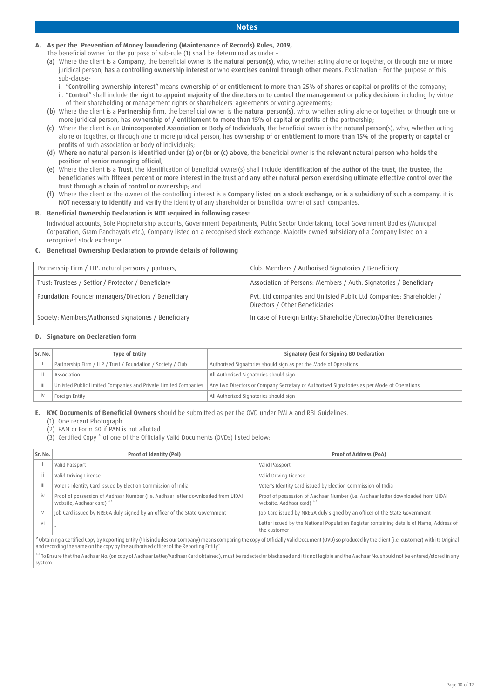## **Notes**

# **A. As per the Prevention of Money laundering (Maintenance of Records) Rules, 2019,**

- The beneficial owner for the purpose of sub-rule (1) shall be determined as under –
- (a) Where the client is a Company, the beneficial owner is the natural person(s), who, whether acting alone or together, or through one or more juridical person, has a controlling ownership interest or who exercises control through other means. Explanation - For the purpose of this sub-clause
	- i. "Controlling ownership interest" means ownership of or entitlement to more than 25% of shares or capital or profits of the company; ii. "Control" shall include the right to appoint majority of the directors or to control the management or policy decisions including by virtue
- of their shareholding or management rights or shareholders' agreements or voting agreements; (b) Where the client is a Partnership firm, the beneficial owner is the natural person(s), who, whether acting alone or together, or through one or
- more juridical person, has ownership of / entitlement to more than 15% of capital or profits of the partnership; (c) Where the client is an Unincorporated Association or Body of Individuals, the beneficial owner is the natural person(s), who, whether acting alone or together, or through one or more juridical person, has ownership of or entitlement to more than 15% of the property or capital or profits of such association or body of individuals;
- (d) Where no natural person is identified under (a) or (b) or (c) above, the beneficial owner is the relevant natural person who holds the position of senior managing official;
- (e) Where the client is a Trust, the identification of beneficial owner(s) shall include identification of the author of the trust, the trustee, the beneficiaries with fifteen percent or more interest in the trust and any other natural person exercising ultimate effective control over the trust through a chain of control or ownership; and
- (f) Where the client or the owner of the controlling interest is a Company listed on a stock exchange, or is a subsidiary of such a company, it is NOT necessary to identify and verify the identity of any shareholder or beneficial owner of such companies.

## **B. Beneficial Ownership Declaration is NOT required in following cases:**

 Individual accounts, Sole Proprietorship accounts, Government Departments, Public Sector Undertaking, Local Government Bodies (Municipal Corporation, Gram Panchayats etc.), Company listed on a recognised stock exchange. Majority owned subsidiary of a Company listed on a recognized stock exchange.

## **C. Beneficial Ownership Declaration to provide details of following**

| Partnership Firm / LLP: natural persons / partners,   | Club: Members / Authorised Signatories / Beneficiary                                                   |
|-------------------------------------------------------|--------------------------------------------------------------------------------------------------------|
| Trust: Trustees / Settlor / Protector / Beneficiary   | Association of Persons: Members / Auth. Signatories / Beneficiary                                      |
| Foundation: Founder managers/Directors / Beneficiary  | Pvt. Ltd companies and Unlisted Public Ltd Companies: Shareholder /<br>Directors / Other Beneficiaries |
| Society: Members/Authorised Signatories / Beneficiary | In case of Foreign Entity: Shareholder/Director/Other Beneficiaries                                    |

## **D. Signature on Declaration form**

| Sr. No. | <b>Type of Entity</b>                                           | Signatory (ies) for Signing BO Declaration                                                 |
|---------|-----------------------------------------------------------------|--------------------------------------------------------------------------------------------|
|         | Partnership Firm / LLP / Trust / Foundation / Society / Club    | Authorised Signatories should sign as per the Mode of Operations                           |
|         | Association                                                     | All Authorised Signatories should sign                                                     |
| iii     | Unlisted Public Limited Companies and Private Limited Companies | Any two Directors or Company Secretary or Authorised Signatories as per Mode of Operations |
|         | Foreian Entity                                                  | All Authorized Signatories should sign                                                     |

**E. KYC Documents of Beneficial Owners** should be submitted as per the OVD under PMLA and RBI Guidelines.

(1) One recent Photograph

(2) PAN or Form 60 if PAN is not allotted

(3) Certified Copy \* of one of the Officially Valid Documents (OVDs) listed below:

| Sr. No. | Proof of Identity (PoI)                                                                                       | <b>Proof of Address (PoA)</b>                                                                                                                                                                      |
|---------|---------------------------------------------------------------------------------------------------------------|----------------------------------------------------------------------------------------------------------------------------------------------------------------------------------------------------|
|         | Valid Passport                                                                                                | Valid Passport                                                                                                                                                                                     |
|         | Valid Driving License                                                                                         | Valid Driving License                                                                                                                                                                              |
| Ϊij     | Voter's Identity Card issued by Election Commission of India                                                  | Voter's Identity Card issued by Election Commission of India                                                                                                                                       |
| iv      | Proof of possession of Aadhaar Number (i.e. Aadhaar letter downloaded from UIDAI<br>website, Aadhaar card) ** | Proof of possession of Aadhaar Number (i.e. Aadhaar letter downloaded from UIDAI<br>website, Aadhaar card) **                                                                                      |
|         | Job Card issued by NREGA duly signed by an officer of the State Government                                    | Job Card issued by NREGA duly signed by an officer of the State Government                                                                                                                         |
| Vİ      |                                                                                                               | Letter issued by the National Population Register containing details of Name, Address of<br>the customer                                                                                           |
|         | and recording the same on the copy by the authorised officer of the Reporting Entity"                         | obtaining a Certified Copy by Reporting Entity (this includes our Company) means comparing the copy of Officially Valid Document (OVD) so produced by the client (i.e. customer) with its Original |
|         |                                                                                                               | ** To Ensure that the Aadhaar No. (on copy of Aadhaar Letter/Aadhaar Card obtained), must be redacted or blackened and it is not legible and the Aadhaar No. should not be entered/stored in any l |

\*\* To Ensure that the Aadhaar No. (on copy of Aadhaar Letter/Aadhaar Card obtained), must be redacted or blackened and it is not legible and the Aadhaar No. should not be entered/stored in any system.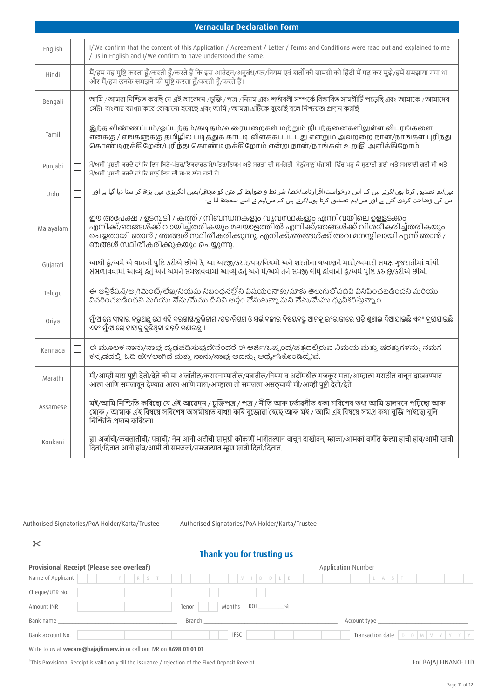|           | <b>Vernacular Declaration Form</b>                                                                                                                                                                                                                                                             |
|-----------|------------------------------------------------------------------------------------------------------------------------------------------------------------------------------------------------------------------------------------------------------------------------------------------------|
| English   | I/We confirm that the content of this Application / Agreement / Letter / Terms and Conditions were read out and explained to me<br>/ us in English and I/We confirm to have understood the same.                                                                                               |
| Hindi     | मैं/हम यह पुष्टि करता हूँ/करती हूँ/करते हैं कि इस आवेदन/अनुबंध/पत्र/नियम एवं शर्तों की सामग्री को हिंदी में पढ़ कर मुझे/हमें समझाया गया था<br>और मैं/हम उनके समझने की पुष्टि करता हूँ/करती हूँ/करते हैं।                                                                                       |
| Bengali   | আমি /আমরা নিশ্চিত করছি যে এই আবেদন /চুক্তি / পত্র /নিয়ম এবং শর্তাবলী সম্পর্কে বিস্তারিত সামগ্রীটি পড়েছি এবং আমাকে /আমাদের<br>সেটা বাংলায় ব্যাখ্যা করে বোঝানো হয়েছে এবং আমি / আমরা এটিকে বুঝেছি বলে নিশ্চয়তা প্রদান করছি                                                                   |
| Tamil     | இந்த விண்ணப்பம்/ஒப்பந்தம்/கடிதம்/வரையறைகள் மற்றும் நிபந்தனைகளிலுள்ள விபரங்களை<br>எனக்கு / எங்களுக்கு தமிழில் படித்துக் காட்டி விளக்கப்பட்டது என்றும் அவற்றை நான்/நாங்கள் புரிந்து<br>கொண்டிருக்கிறேன்/புரிந்து கொண்டிருக்கிறோம் என்று நான்/நாங்கள் உறுதி அளிக்கிறோம்.                          |
| Punjabi   | ਮੈਂ/ਅਸੀਂ ਪੁਸ਼ਟੀ ਕਰਦੇ ਹਾਂ ਕਿ ਇਸ ਬਿਨੈ-ਪੱਤਰ/ਇਕਰਾਰਨਾਮੇ/ਪੱਤਰ/ਨਿਯਮ ਅਤੇ ਸ਼ਰਤਾਂ ਦੀ ਸਮੱਗਰੀ ਮੈਨੂੰ/ਸਾਨੂੰ ਪੰਜਾਬੀ ਵਿੱਚ ਪੜ੍ਹ ਕੇ ਸੁਣਾਈ ਗਈ ਅਤੇ ਸਮਝਾਈ ਗਈ ਸੀ ਅਤੇ<br>ਮੈਂ/ਅਸੀਂ ਪੁਸ਼ਟੀ ਕਰਦੇ ਹਾਂ ਕਿ ਸਾਨੂੰ ਇਸ ਦੀ ਸਮਝ ਲੱਗ ਗਈ ਹੈ।                                                                                       |
| Urdu      | میں/ہم تصدیق کرتا ہوں/کرتے ہیں کہ اس درخواست/اقرارنامہ/خط/ شرائط و ضوابط کے متن کو مجھے/ہمیں انگریزی میں پڑھ کر سنا دیا گیا ہے اور<br>اس کی وضاحت کردی گئی ہے اور میں/ہم تصدیق کرتا ہوں/کرتے ہیں کہ میں/ہم نے اسے سمجھ لیا ہے۔                                                                 |
| Malayalam | ഈ അപേക്ഷ / ഉടമ്പടി / കത്ത് / നിബന്ധനകളും വ്യവസ്ഥകളും എന്നിവയിലെ ഉള്ളടക്കം<br>എനിക്ക്/ഞങ്ങൾക്ക് വായിച്ച്തരികയും മലയാളത്തിൽ എനിക്ക്/ഞങ്ങൾക്ക് വിശദീകരിച്ച്തരികയും<br>ചെയ്തതായി ഞാൻ / ഞങ്ങൾ സ്ഥിരീകരിക്കുന്നു. എനിക്ക്/ഞങ്ങൾക്ക് അവ മനസ്സിലായി എന്ന് ഞാൻ /<br>ഞങ്ങൾ സ്ഥിരീകരിക്കുകയും ചെയ്യുന്നു. |
| Gujarati  | આથી હું/અમે એ વાતની પુષ્ટિ કરીએ છીએ કે, આ અરજી/કરાર/પત્ર/નિયમો અને શરતોના લખાણને મારી/અમારી સમક્ષ ગુજરાતીમાં વાંયી<br>સંભળાવવામાં આવ્યું હતું અને અમને સમજાવવામાં આવ્યું હતું અને મેં/અમે તેને સમજી લીધું હોવાની હું/અમે પુષ્ટિ કરું છું/કરીએ છીએ.                                             |
| Telugu    | ఈ అప్లికేషన్/అ(గిమెంట్/లేఖ/నియమ నిబంధనల్లోని విషయంనాకు/మాకు తెలుగులోచదివి వినిపించబడిందని మరియు<br>వివరించబడిందని మరియు నేను/మేము దీనిని అర్థం చేసుకున్నామని నేను/మేము ధృవీకరిస్తున్నాం.                                                                                                       |
| Oriya     | ୍ମୁଁ/ଆୟେ ସ୍ୱାକାର କରୁଅଛୁ ଯେ ଏହି ଦରଖାସ୍ତ/ଚୁକ୍ତିନାମା/ପତ୍ର/ନିୟମ ଓ ସର୍ଭାବଳୀର ବିଷୟବସ୍ତୁ ଆମକୁ ଇଂରାଜୀରେ ପଢ଼ି ଶୁଣାଇ ଦିଆଯାଇଛି ଏବଂ ବୁଝାଯାଇଛି<br>ଏବଂ ମୁଁ/ଆୟେ ତାହାକୁ ବୁଝିଥିବା ସମ୍ମତି ଜଣାଉଛୁ ।                                                                                                               |
| Kannada   | ಈ ಮೂಲಕ ನಾನು/ನಾವು ದೃಢಪಡಿಸುವುದೇನೆಂದರೆ ಈ ಅರ್ಜಿ/ಒಪ್ಪಂದ/ಪತ್ರದಲ್ಲಿರುವ ನಿಮಯ ಮತ್ತು ಷರತ್ತುಗಳನ್ನು ನಮಗೆ<br>ಕನ್ನಡದಲ್ಲಿ ಓದಿ ಹೇಳಲಾಗಿದೆ ಮತ್ತು ನಾನು/ನಾವು ಅದನ್ನು ಅರ್ಥೈಸಿಕೊಂಡಿದ್ದೇವೆ.                                                                                                                            |
| Marathi   | मी/आम्ही यास पुष्टी देतो/देते की या अर्जातील/करारनाम्यातील/पत्रातील/नियम व अटींमधील मजकूर मला/आम्हाला मराठीत वाचून दाखवण्यात<br>आला आणि समजावून देण्यात आला आणि मला/आम्हाला तो समजला असल्याची मी/आम्ही पुष्टी देतो/देते.                                                                       |
| Assamese  | মই/আমি নিশ্চিতি কৰিছো যে এই আৱেদন / চুক্তিপত্ৰ / পত্ৰ / নীতি আৰু চৰ্তাৱলীত থকা সবিশেষ তথ্য আমি ভালদৰে পঢ়িছো আৰু<br>মোক / আমাক এই বিষয়ে সবিশেষ অসমীয়াত বাখ্যা কৰি বুজোৱা হৈছে আৰু মই / আমি এই বিষয়ে সমগ্ৰ কথা বুজি পাইছো বুলি<br>নিশ্চিতি প্ৰদান কৰিলো৷                                     |
| Konkani   | ह्या अर्जाची/कबलातीची/ पत्राची/ नेम आनी अटींची सामुग्री कोंकणीं भाशेंतल्यान वाचून दाखोवन, म्हाका/आमकां वर्णीत केल्या हाची हांव/आमी खात्री<br>दितां/दितात आनी हांव/आमी ती समजलां/समजल्यात म्हण खात्री दितां/दितात.                                                                              |

Authorised Signatories/PoA Holder/Karta/Trustee Authorised Signatories/PoA Holder/Karta/Trustee

# **Thank you for trusting us**

# **Provisional Receipt (Please see overleaf)** Application Number

| Name of Applicant                                                      |                                |  |  |  | $F$ $\vert$ $\vert$ $R$ $\vert$ $S$ $\vert$ $T$ $\vert$ |  |  |  |  |        |  |  |  |  |             |  |  |  | M 1 D D L E |  |  |                                                                                                                                                                                                                               |  |  |  |  |  |  | $L$ $A$ $S$ $T$ |  |  |  |  |  |  |  |
|------------------------------------------------------------------------|--------------------------------|--|--|--|---------------------------------------------------------|--|--|--|--|--------|--|--|--|--|-------------|--|--|--|-------------|--|--|-------------------------------------------------------------------------------------------------------------------------------------------------------------------------------------------------------------------------------|--|--|--|--|--|--|-----------------|--|--|--|--|--|--|--|
| Cheque/UTR No.                                                         |                                |  |  |  |                                                         |  |  |  |  |        |  |  |  |  |             |  |  |  |             |  |  |                                                                                                                                                                                                                               |  |  |  |  |  |  |                 |  |  |  |  |  |  |  |
| Amount INR                                                             | Months ROI _________%<br>Tenor |  |  |  |                                                         |  |  |  |  |        |  |  |  |  |             |  |  |  |             |  |  |                                                                                                                                                                                                                               |  |  |  |  |  |  |                 |  |  |  |  |  |  |  |
| Bank name                                                              |                                |  |  |  |                                                         |  |  |  |  | Branch |  |  |  |  |             |  |  |  |             |  |  | Account type and the second service of the service of the series of the series of the series of the series of the series of the series of the series of the series of the series of the series of the series of the series of |  |  |  |  |  |  |                 |  |  |  |  |  |  |  |
| Bank account No.                                                       |                                |  |  |  |                                                         |  |  |  |  |        |  |  |  |  | <b>IFSC</b> |  |  |  |             |  |  |                                                                                                                                                                                                                               |  |  |  |  |  |  |                 |  |  |  |  |  |  |  |
| Write to us at wecare@bajajfinserv.in or call our IVR on 8698 01 01 01 |                                |  |  |  |                                                         |  |  |  |  |        |  |  |  |  |             |  |  |  |             |  |  |                                                                                                                                                                                                                               |  |  |  |  |  |  |                 |  |  |  |  |  |  |  |

\*This Provisional Receipt is valid only till the issuance / rejection of the Fixed Deposit Receipt

\_\_\_\_\_\_\_\_\_\_\_\_\_\_\_\_\_\_\_\_\_\_\_\_\_\_\_\_\_\_\_\_